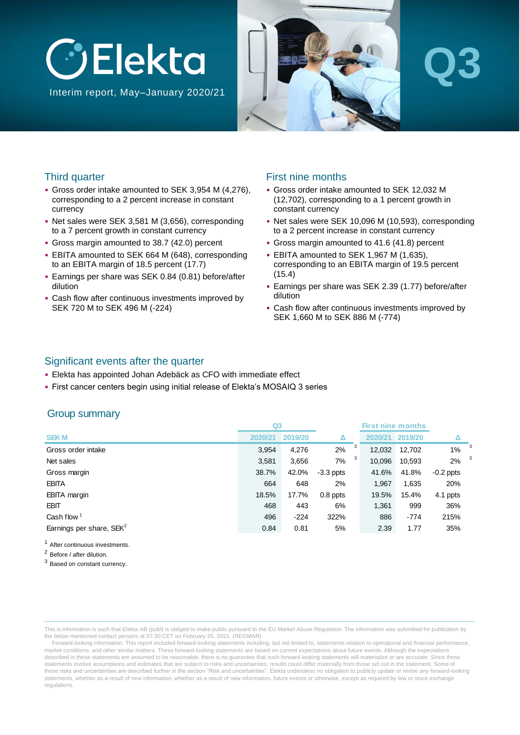

Interim report, May–January 2020/21



# **Q3**

#### Third quarter

- Gross order intake amounted to SEK 3,954 M (4,276), corresponding to a 2 percent increase in constant currency
- Net sales were SEK 3,581 M (3,656), corresponding to a 7 percent growth in constant currency
- Gross margin amounted to 38.7 (42.0) percent
- EBITA amounted to SEK 664 M (648), corresponding to an EBITA margin of 18.5 percent (17.7)
- Earnings per share was SEK 0.84 (0.81) before/after dilution
- Cash flow after continuous investments improved by SEK 720 M to SEK 496 M (-224)

#### First nine months

- Gross order intake amounted to SEK 12,032 M (12,702), corresponding to a 1 percent growth in constant currency
- Net sales were SEK 10,096 M (10,593), corresponding to a 2 percent increase in constant currency
- Gross margin amounted to 41.6 (41.8) percent
- EBITA amounted to SEK 1,967 M (1,635), corresponding to an EBITA margin of 19.5 percent (15.4)
- Earnings per share was SEK 2.39 (1.77) before/after dilution
- Cash flow after continuous investments improved by SEK 1,660 M to SEK 886 M (-774)

#### Significant events after the quarter

- Elekta has appointed Johan Adebäck as CFO with immediate effect
- First cancer centers begin using initial release of Elekta's MOSAIQ 3 series

#### Group summary

|                                      | Q <sub>3</sub> |         |             |             | <b>First nine months</b> |             |   |
|--------------------------------------|----------------|---------|-------------|-------------|--------------------------|-------------|---|
| <b>SEKM</b>                          | 2020/21        | 2019/20 | Δ           | 2020/21     | 2019/20                  | Δ           |   |
| Gross order intake                   | 3,954          | 4,276   | 2%          | 3<br>12,032 | 12,702                   | 1%          | 3 |
| Net sales                            | 3,581          | 3,656   | 7%          | 3<br>10,096 | 10,593                   | 2%          | 3 |
| Gross margin                         | 38.7%          | 42.0%   | $-3.3$ ppts | 41.6%       | 41.8%                    | $-0.2$ ppts |   |
| <b>EBITA</b>                         | 664            | 648     | 2%          | 1,967       | 1,635                    | 20%         |   |
| <b>EBITA</b> margin                  | 18.5%          | 17.7%   | $0.8$ ppts  | 19.5%       | 15.4%                    | 4.1 ppts    |   |
| <b>EBIT</b>                          | 468            | 443     | 6%          | 1,361       | 999                      | 36%         |   |
| Cash flow $1$                        | 496            | $-224$  | 322%        | 886         | $-774$                   | 215%        |   |
| Earnings per share, SEK <sup>2</sup> | 0.84           | 0.81    | 5%          | 2.39        | 1.77                     | 35%         |   |
|                                      |                |         |             |             |                          |             |   |

<sup>1</sup> After continuous investments.

<sup>2</sup> Before / after dilution.

<sup>3</sup> Based on constant currency.

This is information is such that Elekta AB (publ) is obliged to make public pursuant to the EU Market Abuse Regulation. The information was submitted for publication by the below mentioned contact persons at 07:30 CET on February 25, 2021. (REGMAR)

Forward-looking information. This report included forward-looking statements including, but not limited to, statements relation to operational and financial performance, market conditions, and other similar matters. These forward-looking statements are based on current expectations about future events. Although the expectations described in these statements are assumed to be reasonable, there is no quarantee that such forward-looking statements will materialize or are accurate. Since these statements involve assumptions and estimates that are subject to risks and uncertainties, results could differ materially from those set out in the statement. Some of these risks and uncertainties are described further in the section "Risk and uncertainties". Elekta undertakes no obligation to publicly update or revise any forward-looking statements, whether as a result of new information, whether as a result of new information, future events or otherwise, except as required by law or stock exchange regulations.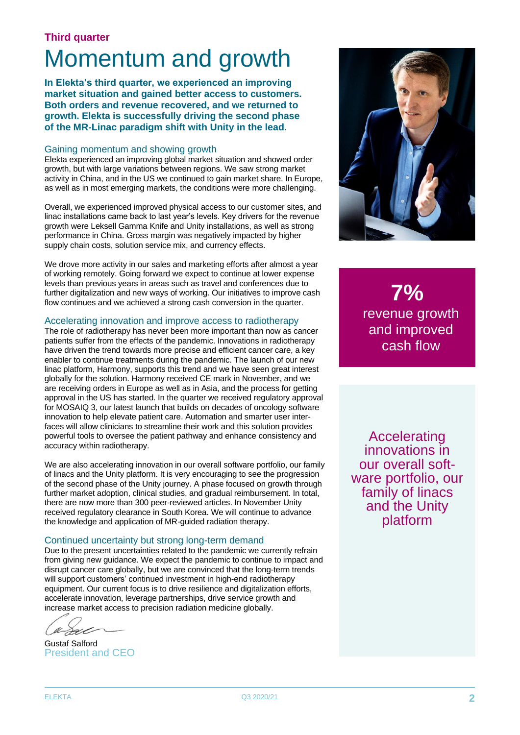#### **Third quarter**

## Momentum and growth

**In Elekta's third quarter, we experienced an improving market situation and gained better access to customers. Both orders and revenue recovered, and we returned to growth. Elekta is successfully driving the second phase of the MR-Linac paradigm shift with Unity in the lead.** 

#### Gaining momentum and showing growth

Elekta experienced an improving global market situation and showed order growth, but with large variations between regions. We saw strong market activity in China, and in the US we continued to gain market share. In Europe, as well as in most emerging markets, the conditions were more challenging.

Overall, we experienced improved physical access to our customer sites, and linac installations came back to last year's levels. Key drivers for the revenue growth were Leksell Gamma Knife and Unity installations, as well as strong performance in China. Gross margin was negatively impacted by higher supply chain costs, solution service mix, and currency effects.

We drove more activity in our sales and marketing efforts after almost a year of working remotely. Going forward we expect to continue at lower expense levels than previous years in areas such as travel and conferences due to further digitalization and new ways of working. Our initiatives to improve cash flow continues and we achieved a strong cash conversion in the quarter.

#### Accelerating innovation and improve access to radiotherapy

The role of radiotherapy has never been more important than now as cancer patients suffer from the effects of the pandemic. Innovations in radiotherapy have driven the trend towards more precise and efficient cancer care, a key enabler to continue treatments during the pandemic. The launch of our new linac platform, Harmony, supports this trend and we have seen great interest globally for the solution. Harmony received CE mark in November, and we are receiving orders in Europe as well as in Asia, and the process for getting approval in the US has started. In the quarter we received regulatory approval for MOSAIQ 3, our latest launch that builds on decades of oncology software innovation to help elevate patient care. Automation and smarter user interfaces will allow clinicians to streamline their work and this solution provides powerful tools to oversee the patient pathway and enhance consistency and accuracy within radiotherapy.

We are also accelerating innovation in our overall software portfolio, our family of linacs and the Unity platform. It is very encouraging to see the progression of the second phase of the Unity journey. A phase focused on growth through further market adoption, clinical studies, and gradual reimbursement. In total, there are now more than 300 peer-reviewed articles. In November Unity received regulatory clearance in South Korea. We will continue to advance the knowledge and application of MR-guided radiation therapy.

#### Continued uncertainty but strong long-term demand

Due to the present uncertainties related to the pandemic we currently refrain from giving new guidance. We expect the pandemic to continue to impact and disrupt cancer care globally, but we are convinced that the long-term trends will support customers' continued investment in high-end radiotherapy equipment. Our current focus is to drive resilience and digitalization efforts, accelerate innovation, leverage partnerships, drive service growth and increase market access to precision radiation medicine globally.

Gustaf Salford President and CEO



**7%** revenue growth and improved cash flow

Accelerating innovations in our overall software portfolio, our family of linacs and the Unity platform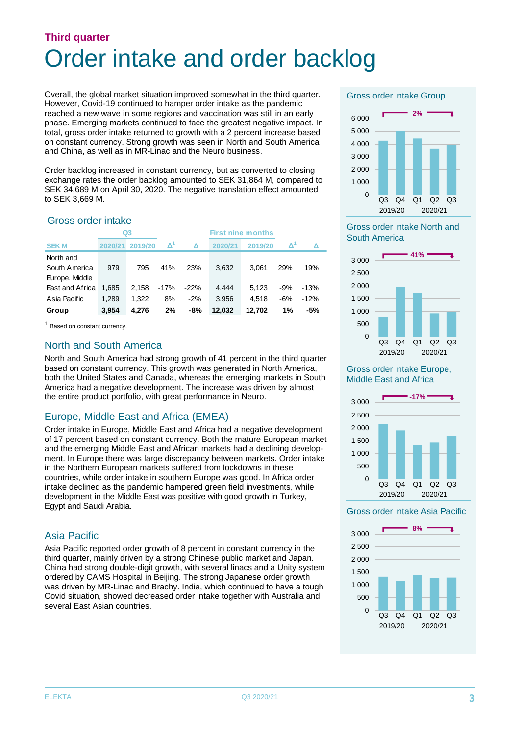## **Third quarter** Order intake and order backlog

Overall, the global market situation improved somewhat in the third quarter. However, Covid-19 continued to hamper order intake as the pandemic reached a new wave in some regions and vaccination was still in an early phase. Emerging markets continued to face the greatest negative impact. In total, gross order intake returned to growth with a 2 percent increase based on constant currency. Strong growth was seen in North and South America and China, as well as in MR-Linac and the Neuro business.

Order backlog increased in constant currency, but as converted to closing exchange rates the order backlog amounted to SEK 31,864 M, compared to SEK 34,689 M on April 30, 2020. The negative translation effect amounted to SEK 3,669 M.

#### Gross order intake

|                 |         | Q3      | <b>First nine months</b> |        |         |         |                     |        |
|-----------------|---------|---------|--------------------------|--------|---------|---------|---------------------|--------|
| <b>SEKM</b>     | 2020/21 | 2019/20 | $\Delta^1$               | Δ      | 2020/21 | 2019/20 | $\mathbf{\Delta}^1$ | Λ      |
| North and       |         |         |                          |        |         |         |                     |        |
| South America   | 979     | 795     | 41%                      | 23%    | 3.632   | 3.061   | 29%                 | 19%    |
| Europe, Middle  |         |         |                          |        |         |         |                     |        |
| East and Africa | 1.685   | 2.158   | $-17%$                   | $-22%$ | 4.444   | 5.123   | -9%                 | $-13%$ |
| Asia Pacific    | 1,289   | 1.322   | 8%                       | $-2%$  | 3,956   | 4,518   | -6%                 | $-12%$ |
| Group           | 3,954   | 4,276   | 2%                       | -8%    | 12.032  | 12.702  | 1%                  | -5%    |

<sup>1</sup> Based on constant currency.

#### North and South America

North and South America had strong growth of 41 percent in the third quarter based on constant currency. This growth was generated in North America, both the United States and Canada, whereas the emerging markets in South America had a negative development. The increase was driven by almost the entire product portfolio, with great performance in Neuro.

#### Europe, Middle East and Africa (EMEA)

Order intake in Europe, Middle East and Africa had a negative development of 17 percent based on constant currency. Both the mature European market and the emerging Middle East and African markets had a declining development. In Europe there was large discrepancy between markets. Order intake in the Northern European markets suffered from lockdowns in these countries, while order intake in southern Europe was good. In Africa order intake declined as the pandemic hampered green field investments, while development in the Middle East was positive with good growth in Turkey, Egypt and Saudi Arabia.

#### Asia Pacific

Asia Pacific reported order growth of 8 percent in constant currency in the third quarter, mainly driven by a strong Chinese public market and Japan. China had strong double-digit growth, with several linacs and a Unity system ordered by CAMS Hospital in Beijing. The strong Japanese order growth was driven by MR-Linac and Brachy. India, which continued to have a tough Covid situation, showed decreased order intake together with Australia and several East Asian countries.

Gross order intake Group



Gross order intake North and South America



Gross order intake Europe, Middle East and Africa



#### Gross order intake Asia Pacific

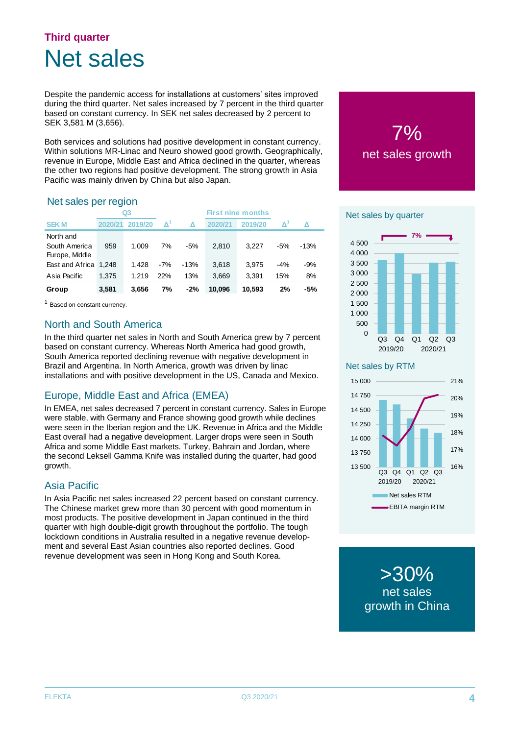### **Third quarter** Net sales

Despite the pandemic access for installations at customers' sites improved during the third quarter. Net sales increased by 7 percent in the third quarter based on constant currency. In SEK net sales decreased by 2 percent to SEK 3,581 M (3,656).

Both services and solutions had positive development in constant currency. Within solutions MR-Linac and Neuro showed good growth. Geographically, revenue in Europe, Middle East and Africa declined in the quarter, whereas the other two regions had positive development. The strong growth in Asia Pacific was mainly driven by China but also Japan.

#### Net sales per region

|                       |         | Q3      |                     |        |         | <b>First nine months</b> |                     |        |
|-----------------------|---------|---------|---------------------|--------|---------|--------------------------|---------------------|--------|
| <b>SEKM</b>           | 2020/21 | 2019/20 | $\mathbf{\Delta}^1$ | Δ      | 2020/21 | 2019/20                  | $\mathbf{\Delta}^n$ | Δ      |
| North and             |         |         |                     |        |         |                          |                     |        |
| South America         | 959     | 1.009   | 7%                  | $-5%$  | 2.810   | 3.227                    | -5%                 | $-13%$ |
| Europe, Middle        |         |         |                     |        |         |                          |                     |        |
| East and Africa 1,248 |         | 1.428   | $-7%$               | $-13%$ | 3.618   | 3.975                    | $-4%$               | $-9%$  |
| Asia Pacific          | 1,375   | 1.219   | 22%                 | 13%    | 3,669   | 3,391                    | 15%                 | 8%     |
| Group                 | 3,581   | 3,656   | 7%                  | $-2%$  | 10.096  | 10.593                   | 2%                  | -5%    |

<sup>1</sup> Based on constant currency.

#### North and South America

In the third quarter net sales in North and South America grew by 7 percent based on constant currency. Whereas North America had good growth, South America reported declining revenue with negative development in Brazil and Argentina. In North America, growth was driven by linac installations and with positive development in the US, Canada and Mexico.

#### Europe, Middle East and Africa (EMEA)

In EMEA, net sales decreased 7 percent in constant currency. Sales in Europe were stable, with Germany and France showing good growth while declines were seen in the Iberian region and the UK. Revenue in Africa and the Middle East overall had a negative development. Larger drops were seen in South Africa and some Middle East markets. Turkey, Bahrain and Jordan, where the second Leksell Gamma Knife was installed during the quarter, had good growth.

#### Asia Pacific

In Asia Pacific net sales increased 22 percent based on constant currency. The Chinese market grew more than 30 percent with good momentum in most products. The positive development in Japan continued in the third quarter with high double-digit growth throughout the portfolio. The tough lockdown conditions in Australia resulted in a negative revenue development and several East Asian countries also reported declines. Good revenue development was seen in Hong Kong and South Korea.

# 7% net sales growth

#### **Net sales by quarter**



Net sales by RTM



>30% net sales growth in China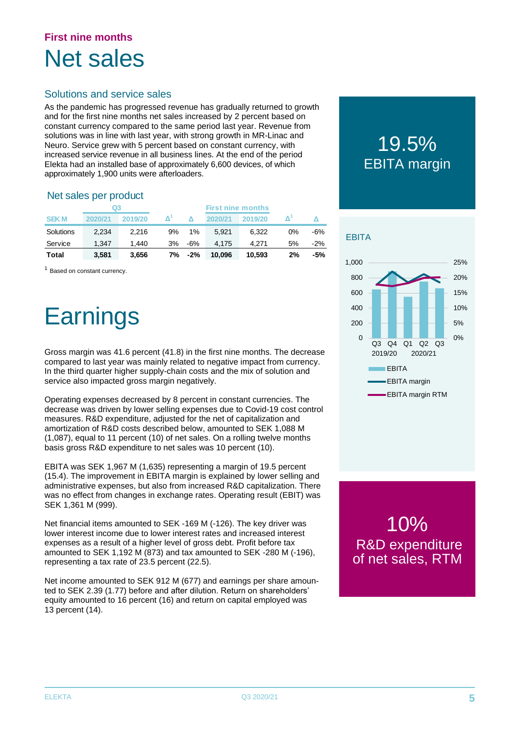### **First nine months** Net sales

#### Solutions and service sales

As the pandemic has progressed revenue has gradually returned to growth and for the first nine months net sales increased by 2 percent based on constant currency compared to the same period last year. Revenue from solutions was in line with last year, with strong growth in MR-Linac and Neuro. Service grew with 5 percent based on constant currency, with increased service revenue in all business lines. At the end of the period Elekta had an installed base of approximately 6,600 devices, of which approximately 1,900 units were afterloaders.

#### Net sales per product

|             | Q3      |         |    | <b>First nine months</b> |         |         |       |        |
|-------------|---------|---------|----|--------------------------|---------|---------|-------|--------|
| <b>SEKM</b> | 2020/21 | 2019/20 |    |                          | 2020/21 | 2019/20 |       |        |
| Solutions   | 2.234   | 2.216   | 9% | 1%                       | 5.921   | 6.322   | $0\%$ | -6%    |
| Service     | 1.347   | 1.440   | 3% | -6%                      | 4.175   | 4.271   | 5%    | $-2\%$ |
| Total       | 3.581   | 3.656   | 7% | -2%                      | 10,096  | 10,593  | 2%    | -5%    |

<sup>1</sup> Based on constant currency.

## **Earnings**

Gross margin was 41.6 percent (41.8) in the first nine months. The decrease compared to last year was mainly related to negative impact from currency. In the third quarter higher supply-chain costs and the mix of solution and service also impacted gross margin negatively.

Operating expenses decreased by 8 percent in constant currencies. The decrease was driven by lower selling expenses due to Covid-19 cost control measures. R&D expenditure, adjusted for the net of capitalization and amortization of R&D costs described below, amounted to SEK 1,088 M (1,087), equal to 11 percent (10) of net sales. On a rolling twelve months basis gross R&D expenditure to net sales was 10 percent (10).

EBITA was SEK 1,967 M (1,635) representing a margin of 19.5 percent (15.4). The improvement in EBITA margin is explained by lower selling and administrative expenses, but also from increased R&D capitalization. There was no effect from changes in exchange rates. Operating result (EBIT) was SEK 1,361 M (999).

Net financial items amounted to SEK -169 M (-126). The key driver was lower interest income due to lower interest rates and increased interest expenses as a result of a higher level of gross debt. Profit before tax amounted to SEK 1,192 M (873) and tax amounted to SEK -280 M (-196), representing a tax rate of 23.5 percent (22.5).

Net income amounted to SEK 912 M (677) and earnings per share amounted to SEK 2.39 (1.77) before and after dilution. Return on shareholders' equity amounted to 16 percent (16) and return on capital employed was 13 percent (14).

## 19.5% EBITA margin



10% R&D expenditure of net sales, RTM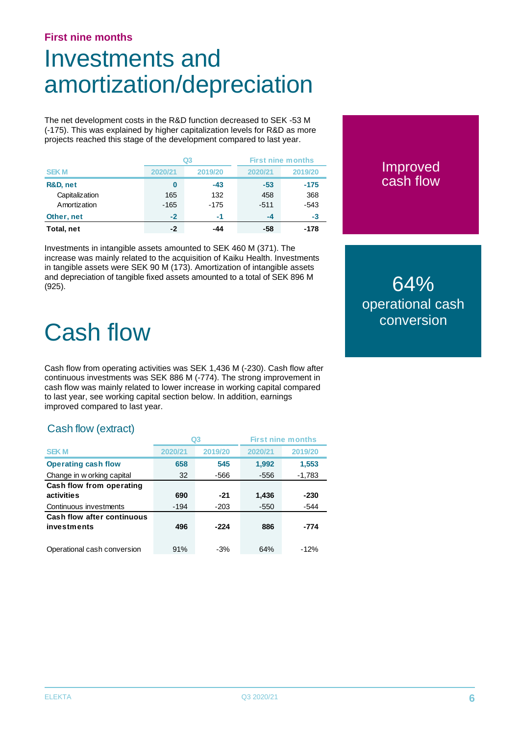#### **First nine months**

## Investments and amortization/depreciation

The net development costs in the R&D function decreased to SEK -53 M (-175). This was explained by higher capitalization levels for R&D as more projects reached this stage of the development compared to last year.

|                |         | Q3      | <b>First nine months</b> |         |
|----------------|---------|---------|--------------------------|---------|
| <b>SEKM</b>    | 2020/21 | 2019/20 | 2020/21                  | 2019/20 |
| R&D, net       | 0       | $-43$   | $-53$                    | $-175$  |
| Capitalization | 165     | 132     | 458                      | 368     |
| Amortization   | $-165$  | $-175$  | $-511$                   | $-543$  |
| Other, net     | $-2$    | -1      | $-4$                     | -3      |
| Total, net     | -2      | -44     | -58                      | -178    |

Investments in intangible assets amounted to SEK 460 M (371). The increase was mainly related to the acquisition of Kaiku Health. Investments in tangible assets were SEK 90 M (173). Amortization of intangible assets and depreciation of tangible fixed assets amounted to a total of SEK 896 M (925).

## Cash flow

Cash flow from operating activities was SEK 1,436 M (-230). Cash flow after continuous investments was SEK 886 M (-774). The strong improvement in cash flow was mainly related to lower increase in working capital compared to last year, see working capital section below. In addition, earnings improved compared to last year.

#### Cash flow (extract)

|                             | Q3      |         |         | <b>First nine months</b> |  |
|-----------------------------|---------|---------|---------|--------------------------|--|
| <b>SEKM</b>                 | 2020/21 | 2019/20 | 2020/21 | 2019/20                  |  |
| <b>Operating cash flow</b>  | 658     | 545     | 1,992   | 1,553                    |  |
| Change in w orking capital  | 32      | -566    | $-556$  | $-1,783$                 |  |
| Cash flow from operating    |         |         |         |                          |  |
| activities                  | 690     | $-21$   | 1,436   | $-230$                   |  |
| Continuous investments      | $-194$  | $-203$  | $-550$  | $-544$                   |  |
| Cash flow after continuous  |         |         |         |                          |  |
| investments                 | 496     | -224    | 886     | -774                     |  |
|                             |         |         |         |                          |  |
| Operational cash conversion | 91%     | $-3%$   | 64%     | $-12%$                   |  |

#### Improved cash flow

64% operational cash conversion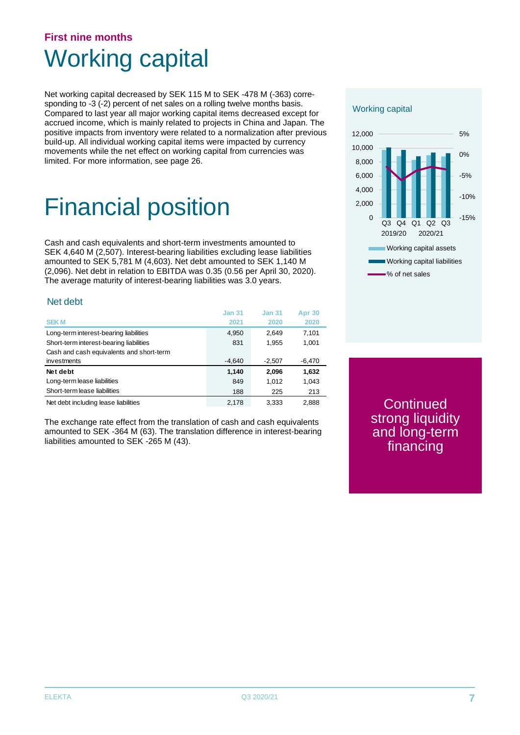### **First nine months** Working capital

Net working capital decreased by SEK 115 M to SEK -478 M (-363) corresponding to -3 (-2) percent of net sales on a rolling twelve months basis. Compared to last year all major working capital items decreased except for accrued income, which is mainly related to projects in China and Japan. The positive impacts from inventory were related to a normalization after previous build-up. All individual working capital items were impacted by currency movements while the net effect on working capital from currencies was limited. For more information, see page 26.

## Financial position

Cash and cash equivalents and short-term investments amounted to SEK 4,640 M (2,507). Interest-bearing liabilities excluding lease liabilities amounted to SEK 5,781 M (4,603). Net debt amounted to SEK 1,140 M (2,096). Net debt in relation to EBITDA was 0.35 (0.56 per April 30, 2020). The average maturity of interest-bearing liabilities was 3.0 years.

#### Net debt

|                                          | <b>Jan 31</b> | <b>Jan 31</b> | <b>Apr 30</b> |
|------------------------------------------|---------------|---------------|---------------|
| <b>SEKM</b>                              | 2021          | 2020          | 2020          |
| Long-term interest-bearing liabilities   | 4,950         | 2.649         | 7,101         |
| Short-term interest-bearing liabilities  | 831           | 1,955         | 1,001         |
| Cash and cash equivalents and short-term |               |               |               |
| investments                              | $-4,640$      | $-2,507$      | $-6,470$      |
| Net debt                                 | 1,140         | 2.096         | 1,632         |
| Long-term lease liabilities              | 849           | 1.012         | 1,043         |
| Short-term lease liabilities             | 188           | 225           | 213           |
| Net debt including lease liabilities     | 2.178         | 3.333         | 2.888         |

The exchange rate effect from the translation of cash and cash equivalents amounted to SEK -364 M (63). The translation difference in interest-bearing liabilities amounted to SEK -265 M (43).

#### Working capital



Continued strong liquidity and long-term financing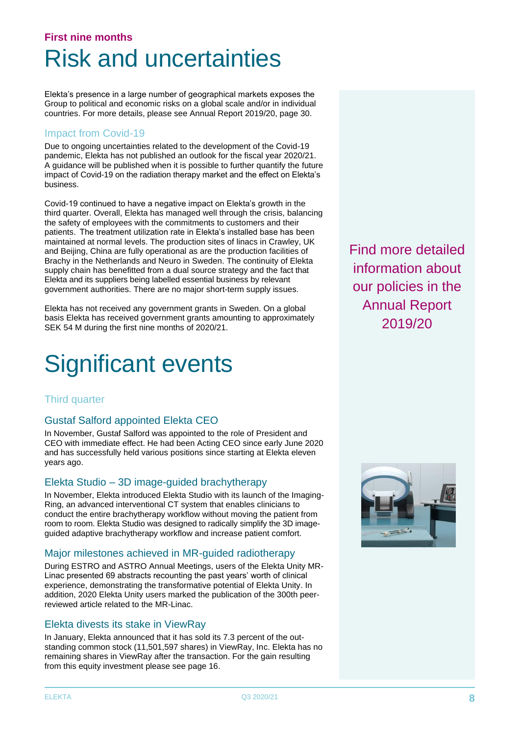### **First nine months** Risk and uncertainties

Elekta's presence in a large number of geographical markets exposes the Group to political and economic risks on a global scale and/or in individual countries. For more details, please see Annual Report 2019/20, page 30.

#### Impact from Covid-19

Due to ongoing uncertainties related to the development of the Covid-19 pandemic, Elekta has not published an outlook for the fiscal year 2020/21. A guidance will be published when it is possible to further quantify the future impact of Covid-19 on the radiation therapy market and the effect on Elekta's business.

Covid-19 continued to have a negative impact on Elekta's growth in the third quarter. Overall, Elekta has managed well through the crisis, balancing the safety of employees with the commitments to customers and their patients. The treatment utilization rate in Elekta's installed base has been maintained at normal levels. The production sites of linacs in Crawley, UK and Beijing, China are fully operational as are the production facilities of Brachy in the Netherlands and Neuro in Sweden. The continuity of Elekta supply chain has benefitted from a dual source strategy and the fact that Elekta and its suppliers being labelled essential business by relevant government authorities. There are no major short-term supply issues.

Elekta has not received any government grants in Sweden. On a global basis Elekta has received government grants amounting to approximately SEK 54 M during the first nine months of 2020/21.

## Significant events

#### Third quarter

#### Gustaf Salford appointed Elekta CEO

In November, Gustaf Salford was appointed to the role of President and CEO with immediate effect. He had been Acting CEO since early June 2020 and has successfully held various positions since starting at Elekta eleven years ago.

#### Elekta Studio – 3D image-guided brachytherapy

In November, Elekta introduced Elekta Studio with its launch of the Imaging-Ring, an advanced interventional CT system that enables clinicians to conduct the entire brachytherapy workflow without moving the patient from room to room. Elekta Studio was designed to radically simplify the 3D imageguided adaptive brachytherapy workflow and increase patient comfort.

#### Major milestones achieved in MR-guided radiotherapy

During ESTRO and ASTRO Annual Meetings, users of the Elekta Unity MR-Linac presented 69 abstracts recounting the past years' worth of clinical experience, demonstrating the transformative potential of Elekta Unity. In addition, 2020 Elekta Unity users marked the publication of the 300th peerreviewed article related to the MR-Linac.

#### Elekta divests its stake in ViewRay

In January, Elekta announced that it has sold its 7.3 percent of the outstanding common stock (11,501,597 shares) in ViewRay, Inc. Elekta has no remaining shares in ViewRay after the transaction. For the gain resulting from this equity investment please see page 16.

Find more detailed information about our policies in the Annual Report 2019/20

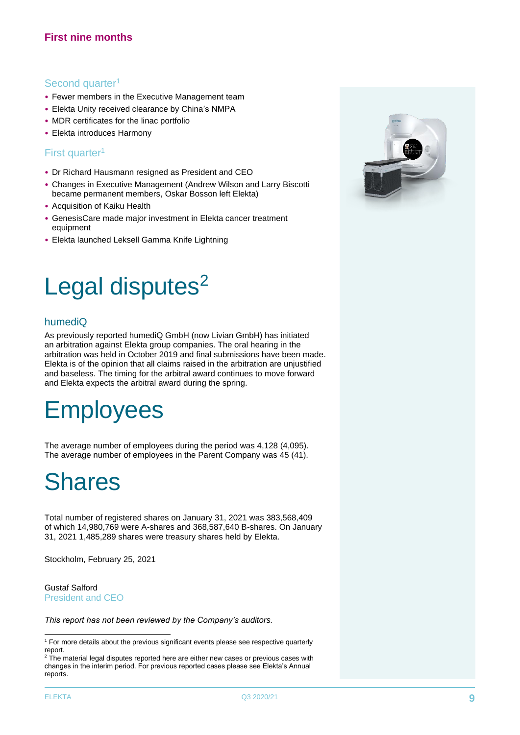#### **First nine months**

#### Second quarter<sup>1</sup>

- Fewer members in the Executive Management team
- Elekta Unity received clearance by China's NMPA
- MDR certificates for the linac portfolio
- Elekta introduces Harmony

#### First quarter<sup>1</sup>

- Dr Richard Hausmann resigned as President and CEO
- Changes in Executive Management (Andrew Wilson and Larry Biscotti became permanent members, Oskar Bosson left Elekta)
- Acquisition of Kaiku Health
- GenesisCare made major investment in Elekta cancer treatment equipment
- Elekta launched Leksell Gamma Knife Lightning

## Legal disputes<sup>2</sup>

#### humediQ

As previously reported humediQ GmbH (now Livian GmbH) has initiated an arbitration against Elekta group companies. The oral hearing in the arbitration was held in October 2019 and final submissions have been made. Elekta is of the opinion that all claims raised in the arbitration are unjustified and baseless. The timing for the arbitral award continues to move forward and Elekta expects the arbitral award during the spring.

## **Employees**

The average number of employees during the period was 4,128 (4,095). The average number of employees in the Parent Company was 45 (41).

## Shares

Total number of registered shares on January 31, 2021 was 383,568,409 of which 14,980,769 were A-shares and 368,587,640 B-shares. On January 31, 2021 1,485,289 shares were treasury shares held by Elekta.

Stockholm, February 25, 2021

#### Gustaf Salford President and CEO

*This report has not been reviewed by the Company's auditors.*



<sup>&</sup>lt;sup>1</sup> For more details about the previous significant events please see respective quarterly report.

<sup>&</sup>lt;sup>2</sup> The material legal disputes reported here are either new cases or previous cases with changes in the interim period. For previous reported cases please see Elekta's Annual reports.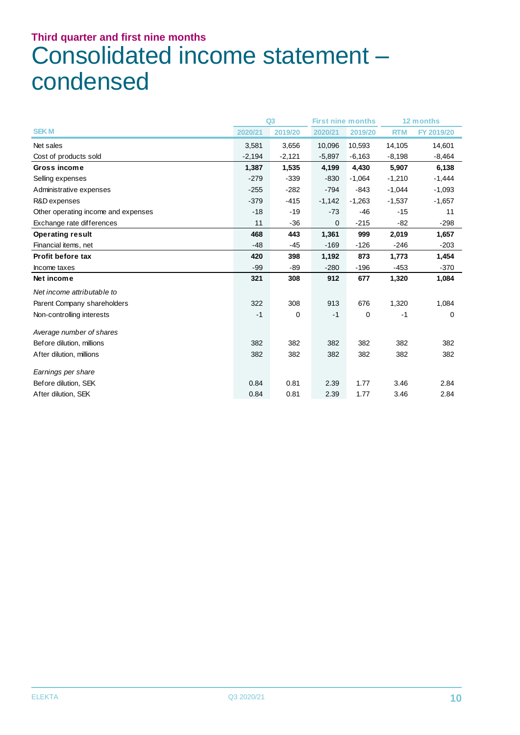## **Third quarter and first nine months** Consolidated income statement – condensed

|                                     |          | Q <sub>3</sub> | <b>First nine months</b> |          |            | 12 months  |
|-------------------------------------|----------|----------------|--------------------------|----------|------------|------------|
| <b>SEK M</b>                        | 2020/21  | 2019/20        | 2020/21                  | 2019/20  | <b>RTM</b> | FY 2019/20 |
| Net sales                           | 3,581    | 3,656          | 10,096                   | 10,593   | 14,105     | 14,601     |
| Cost of products sold               | $-2,194$ | $-2,121$       | $-5,897$                 | $-6,163$ | $-8,198$   | $-8,464$   |
| Gross income                        | 1,387    | 1,535          | 4,199                    | 4,430    | 5,907      | 6,138      |
| Selling expenses                    | $-279$   | $-339$         | $-830$                   | $-1,064$ | $-1,210$   | $-1,444$   |
| Administrative expenses             | $-255$   | $-282$         | $-794$                   | $-843$   | $-1,044$   | $-1,093$   |
| R&D expenses                        | $-379$   | $-415$         | $-1,142$                 | $-1,263$ | $-1,537$   | $-1,657$   |
| Other operating income and expenses | $-18$    | $-19$          | $-73$                    | $-46$    | $-15$      | 11         |
| Exchange rate differences           | 11       | $-36$          | 0                        | $-215$   | $-82$      | $-298$     |
| <b>Operating result</b>             | 468      | 443            | 1,361                    | 999      | 2,019      | 1,657      |
| Financial items, net                | $-48$    | $-45$          | $-169$                   | $-126$   | $-246$     | $-203$     |
| <b>Profit before tax</b>            | 420      | 398            | 1,192                    | 873      | 1,773      | 1,454      |
| Income taxes                        | $-99$    | $-89$          | $-280$                   | $-196$   | $-453$     | $-370$     |
| Net income                          | 321      | 308            | 912                      | 677      | 1,320      | 1,084      |
| Net income attributable to          |          |                |                          |          |            |            |
| Parent Company shareholders         | 322      | 308            | 913                      | 676      | 1,320      | 1,084      |
| Non-controlling interests           | $-1$     | $\mathbf 0$    | $-1$                     | 0        | $-1$       | $\Omega$   |
| Average number of shares            |          |                |                          |          |            |            |
| Before dilution, millions           | 382      | 382            | 382                      | 382      | 382        | 382        |
| After dilution, millions            | 382      | 382            | 382                      | 382      | 382        | 382        |
| Earnings per share                  |          |                |                          |          |            |            |
| Before dilution, SEK                | 0.84     | 0.81           | 2.39                     | 1.77     | 3.46       | 2.84       |
| After dilution, SEK                 | 0.84     | 0.81           | 2.39                     | 1.77     | 3.46       | 2.84       |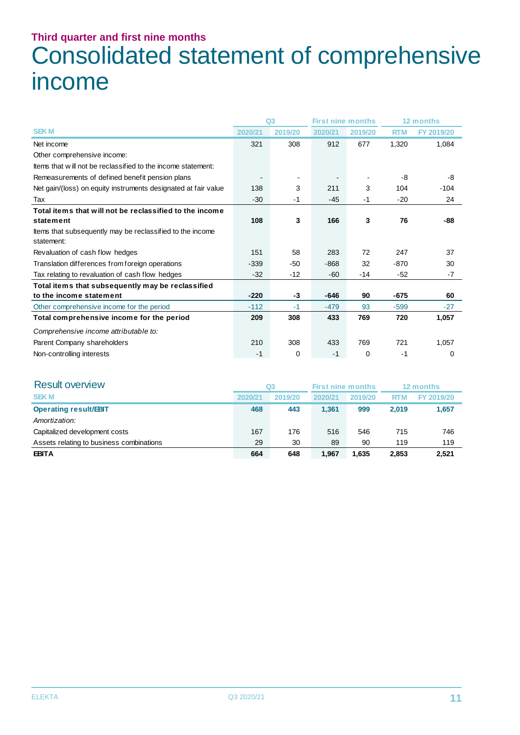## **Third quarter and first nine months** Consolidated statement of comprehensive income

|                                                                         |         | Q <sub>3</sub> | <b>First nine months</b> |         |            | 12 months  |
|-------------------------------------------------------------------------|---------|----------------|--------------------------|---------|------------|------------|
| <b>SEKM</b>                                                             | 2020/21 | 2019/20        | 2020/21                  | 2019/20 | <b>RTM</b> | FY 2019/20 |
| Net income                                                              | 321     | 308            | 912                      | 677     | 1,320      | 1,084      |
| Other comprehensive income:                                             |         |                |                          |         |            |            |
| Items that will not be reclassified to the income statement:            |         |                |                          |         |            |            |
| Remeasurements of defined benefit pension plans                         |         |                |                          |         | -8         | -8         |
| Net gain/(loss) on equity instruments designated at fair value          | 138     | 3              | 211                      | 3       | 104        | $-104$     |
| Tax                                                                     | $-30$   | $-1$           | $-45$                    | $-1$    | $-20$      | 24         |
| Total items that will not be reclassified to the income                 |         |                |                          |         |            |            |
| statement                                                               | 108     | 3              | 166                      | 3       | 76         | -88        |
| Items that subsequently may be reclassified to the income<br>statement: |         |                |                          |         |            |            |
| Revaluation of cash flow hedges                                         | 151     | 58             | 283                      | 72      | 247        | 37         |
| Translation differences from foreign operations                         | $-339$  | $-50$          | $-868$                   | 32      | $-870$     | 30         |
| Tax relating to revaluation of cash flow hedges                         | $-32$   | $-12$          | $-60$                    | -14     | $-52$      | $-7$       |
| Total items that subsequently may be reclassified                       |         |                |                          |         |            |            |
| to the income statement                                                 | $-220$  | $-3$           | $-646$                   | 90      | $-675$     | 60         |
| Other comprehensive income for the period                               | $-112$  | $-1$           | $-479$                   | 93      | $-599$     | $-27$      |
| Total comprehensive income for the period                               | 209     | 308            | 433                      | 769     | 720        | 1,057      |
| Comprehensive income attributable to:                                   |         |                |                          |         |            |            |
| Parent Company shareholders                                             | 210     | 308            | 433                      | 769     | 721        | 1,057      |
| Non-controlling interests                                               | $-1$    | 0              | $-1$                     | 0       | $-1$       | $\Omega$   |

| <b>Result overview</b>                   |         | Q3      | <b>First nine months</b> |         |            | 12 months  |
|------------------------------------------|---------|---------|--------------------------|---------|------------|------------|
| <b>SEKM</b>                              | 2020/21 | 2019/20 | 2020/21                  | 2019/20 | <b>RTM</b> | FY 2019/20 |
| <b>Operating result/EBIT</b>             | 468     | 443     | 1.361                    | 999     | 2.019      | 1,657      |
| Amortization:                            |         |         |                          |         |            |            |
| Capitalized development costs            | 167     | 176     | 516                      | 546     | 715        | 746        |
| Assets relating to business combinations | 29      | 30      | 89                       | 90      | 119        | 119        |
| <b>EBITA</b>                             | 664     | 648     | 1,967                    | 1.635   | 2.853      | 2.521      |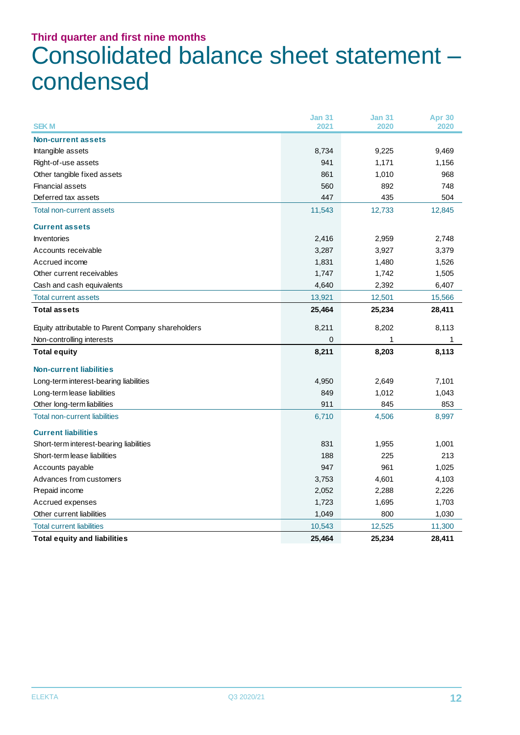### **Third quarter and first nine months** Consolidated balance sheet statement – condensed

|                                                    | <b>Jan 31</b> | <b>Jan 31</b> | Apr 30 |
|----------------------------------------------------|---------------|---------------|--------|
| <b>SEKM</b>                                        | 2021          | 2020          | 2020   |
| <b>Non-current assets</b>                          |               |               |        |
| Intangible assets                                  | 8,734         | 9,225         | 9,469  |
| Right-of-use assets                                | 941           | 1,171         | 1,156  |
| Other tangible fixed assets                        | 861           | 1,010         | 968    |
| Financial assets                                   | 560           | 892           | 748    |
| Deferred tax assets                                | 447           | 435           | 504    |
| Total non-current assets                           | 11,543        | 12,733        | 12,845 |
| <b>Current assets</b>                              |               |               |        |
| Inventories                                        | 2,416         | 2,959         | 2,748  |
| Accounts receivable                                | 3,287         | 3,927         | 3,379  |
| Accrued income                                     | 1,831         | 1,480         | 1,526  |
| Other current receivables                          | 1,747         | 1,742         | 1,505  |
| Cash and cash equivalents                          | 4,640         | 2,392         | 6,407  |
| <b>Total current assets</b>                        | 13,921        | 12,501        | 15,566 |
| <b>Total assets</b>                                | 25,464        | 25,234        | 28,411 |
| Equity attributable to Parent Company shareholders | 8,211         | 8,202         | 8,113  |
| Non-controlling interests                          | 0             | 1             | 1      |
| <b>Total equity</b>                                | 8,211         | 8,203         | 8,113  |
| <b>Non-current liabilities</b>                     |               |               |        |
| Long-term interest-bearing liabilities             | 4,950         | 2,649         | 7,101  |
| Long-term lease liabilities                        | 849           | 1,012         | 1,043  |
| Other long-term liabilities                        | 911           | 845           | 853    |
| <b>Total non-current liabilities</b>               | 6,710         | 4,506         | 8,997  |
| <b>Current liabilities</b>                         |               |               |        |
| Short-term interest-bearing liabilities            | 831           | 1,955         | 1,001  |
| Short-term lease liabilities                       | 188           | 225           | 213    |
| Accounts payable                                   | 947           | 961           | 1,025  |
| Advances from customers                            | 3,753         | 4,601         | 4,103  |
| Prepaid income                                     | 2,052         | 2,288         | 2,226  |
| Accrued expenses                                   | 1,723         | 1,695         | 1,703  |
| Other current liabilities                          | 1,049         | 800           | 1,030  |
| <b>Total current liabilities</b>                   | 10,543        | 12,525        | 11,300 |
| <b>Total equity and liabilities</b>                | 25,464        | 25,234        | 28,411 |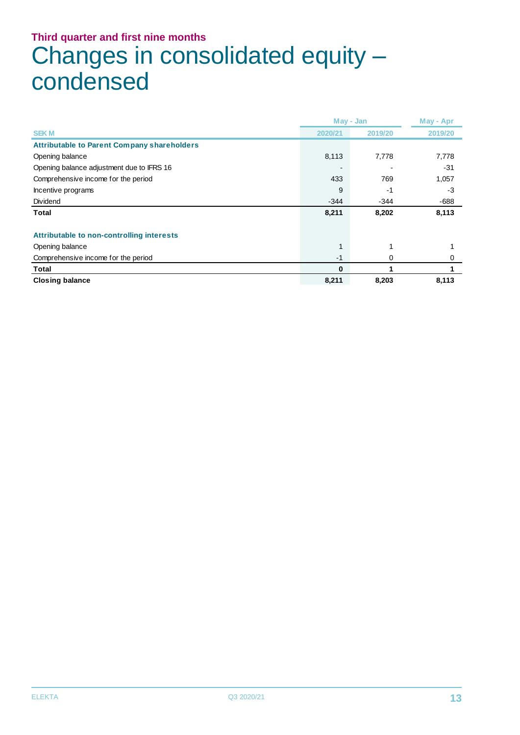## **Third quarter and first nine months** Changes in consolidated equity – condensed

|                                                    |         | May - Jan |         |  |
|----------------------------------------------------|---------|-----------|---------|--|
| <b>SEKM</b>                                        | 2020/21 | 2019/20   | 2019/20 |  |
| <b>Attributable to Parent Company shareholders</b> |         |           |         |  |
| Opening balance                                    | 8,113   | 7,778     | 7,778   |  |
| Opening balance adjustment due to IFRS 16          |         |           | -31     |  |
| Comprehensive income for the period                | 433     | 769       | 1,057   |  |
| Incentive programs                                 | 9       | -1        | -3      |  |
| Dividend                                           | $-344$  | $-344$    | $-688$  |  |
| <b>Total</b>                                       | 8,211   | 8,202     | 8,113   |  |
| Attributable to non-controlling interests          |         |           |         |  |
| Opening balance                                    |         |           |         |  |
| Comprehensive income for the period                | $-1$    | 0         |         |  |
| Total                                              | 0       |           |         |  |
| <b>Closing balance</b>                             | 8,211   | 8,203     | 8,113   |  |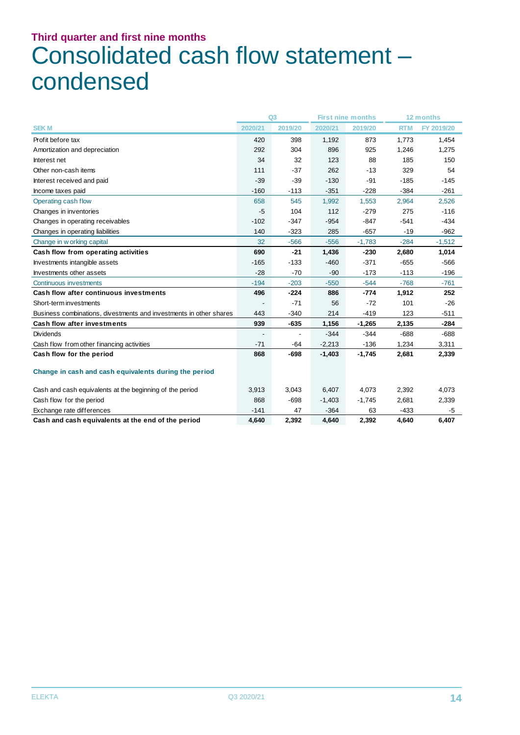## **Third quarter and first nine months** Consolidated cash flow statement – condensed

|                                                                    | Q <sub>3</sub> |                | <b>First nine months</b> |          | 12 months  |            |
|--------------------------------------------------------------------|----------------|----------------|--------------------------|----------|------------|------------|
| <b>SEKM</b>                                                        | 2020/21        | 2019/20        | 2020/21                  | 2019/20  | <b>RTM</b> | FY 2019/20 |
| Profit before tax                                                  | 420            | 398            | 1,192                    | 873      | 1,773      | 1,454      |
| Amortization and depreciation                                      | 292            | 304            | 896                      | 925      | 1,246      | 1,275      |
| Interest net                                                       | 34             | 32             | 123                      | 88       | 185        | 150        |
| Other non-cash items                                               | 111            | $-37$          | 262                      | $-13$    | 329        | 54         |
| Interest received and paid                                         | $-39$          | $-39$          | $-130$                   | $-91$    | $-185$     | $-145$     |
| Income taxes paid                                                  | $-160$         | $-113$         | $-351$                   | $-228$   | $-384$     | $-261$     |
| Operating cash flow                                                | 658            | 545            | 1,992                    | 1,553    | 2,964      | 2,526      |
| Changes in inventories                                             | -5             | 104            | 112                      | $-279$   | 275        | $-116$     |
| Changes in operating receivables                                   | $-102$         | $-347$         | $-954$                   | $-847$   | $-541$     | $-434$     |
| Changes in operating liabilities                                   | 140            | $-323$         | 285                      | $-657$   | $-19$      | $-962$     |
| Change in w orking capital                                         | 32             | $-566$         | $-556$                   | $-1,783$ | $-284$     | $-1,512$   |
| Cash flow from operating activities                                | 690            | $-21$          | 1,436                    | $-230$   | 2,680      | 1,014      |
| Investments intangible assets                                      | $-165$         | $-133$         | $-460$                   | $-371$   | $-655$     | $-566$     |
| Investments other assets                                           | $-28$          | $-70$          | $-90$                    | $-173$   | $-113$     | $-196$     |
| Continuous investments                                             | $-194$         | $-203$         | $-550$                   | $-544$   | $-768$     | $-761$     |
| Cash flow after continuous investments                             | 496            | $-224$         | 886                      | $-774$   | 1,912      | 252        |
| Short-term investments                                             |                | $-71$          | 56                       | $-72$    | 101        | $-26$      |
| Business combinations, divestments and investments in other shares | 443            | $-340$         | 214                      | $-419$   | 123        | $-511$     |
| <b>Cash flow after investments</b>                                 | 939            | $-635$         | 1,156                    | $-1,265$ | 2,135      | $-284$     |
| <b>Dividends</b>                                                   |                | $\overline{a}$ | $-344$                   | $-344$   | $-688$     | $-688$     |
| Cash flow from other financing activities                          | $-71$          | $-64$          | $-2,213$                 | $-136$   | 1,234      | 3,311      |
| Cash flow for the period                                           | 868            | $-698$         | $-1,403$                 | $-1,745$ | 2,681      | 2,339      |
| Change in cash and cash equivalents during the period              |                |                |                          |          |            |            |
| Cash and cash equivalents at the beginning of the period           | 3,913          | 3,043          | 6,407                    | 4,073    | 2,392      | 4,073      |
| Cash flow for the period                                           | 868            | $-698$         | $-1,403$                 | $-1,745$ | 2,681      | 2,339      |
| Exchange rate differences                                          | $-141$         | 47             | $-364$                   | 63       | $-433$     | -5         |
| Cash and cash equivalents at the end of the period                 | 4,640          | 2,392          | 4,640                    | 2,392    | 4,640      | 6,407      |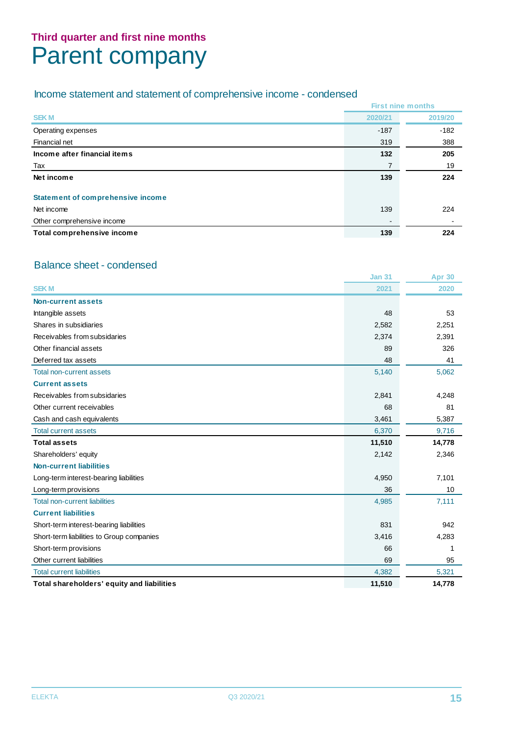### **Third quarter and first nine months** Parent company

#### Income statement and statement of comprehensive income - condensed

|                                          |         | <b>First nine months</b> |
|------------------------------------------|---------|--------------------------|
| <b>SEKM</b>                              | 2020/21 | 2019/20                  |
| Operating expenses                       | $-187$  | $-182$                   |
| Financial net                            | 319     | 388                      |
| Income after financial items             | 132     | 205                      |
| Tax                                      | 7       | 19                       |
| Net income                               | 139     | 224                      |
| <b>Statement of comprehensive income</b> |         |                          |
| Net income                               | 139     | 224                      |
| Other comprehensive income               |         |                          |
| Total comprehensive income               | 139     | 224                      |

#### Balance sheet - condensed

|                                            | <b>Jan 31</b> | <b>Apr 30</b> |
|--------------------------------------------|---------------|---------------|
| <b>SEKM</b>                                | 2021          | 2020          |
| Non-current assets                         |               |               |
| Intangible assets                          | 48            | 53            |
| Shares in subsidiaries                     | 2,582         | 2,251         |
| Receivables from subsidaries               | 2,374         | 2,391         |
| Other financial assets                     | 89            | 326           |
| Deferred tax assets                        | 48            | 41            |
| <b>Total non-current assets</b>            | 5,140         | 5,062         |
| <b>Current assets</b>                      |               |               |
| Receivables from subsidaries               | 2,841         | 4,248         |
| Other current receivables                  | 68            | 81            |
| Cash and cash equivalents                  | 3,461         | 5,387         |
| <b>Total current assets</b>                | 6,370         | 9,716         |
| <b>Total assets</b>                        | 11,510        | 14,778        |
| Shareholders' equity                       | 2,142         | 2,346         |
| <b>Non-current liabilities</b>             |               |               |
| Long-term interest-bearing liabilities     | 4,950         | 7,101         |
| Long-term provisions                       | 36            | 10            |
| <b>Total non-current liabilities</b>       | 4,985         | 7,111         |
| <b>Current liabilities</b>                 |               |               |
| Short-term interest-bearing liabilities    | 831           | 942           |
| Short-term liabilities to Group companies  | 3,416         | 4,283         |
| Short-term provisions                      | 66            | 1             |
| Other current liabilities                  | 69            | 95            |
| <b>Total current liabilities</b>           | 4,382         | 5,321         |
| Total shareholders' equity and liabilities | 11,510        | 14,778        |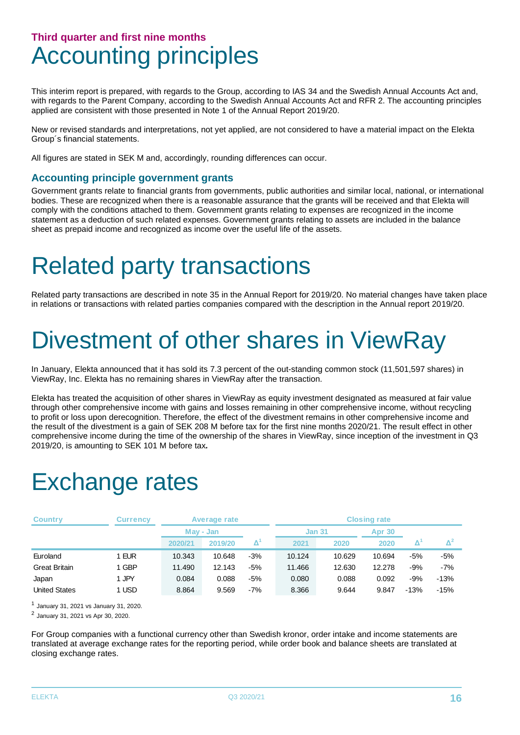### **Third quarter and first nine months** Accounting principles

This interim report is prepared, with regards to the Group, according to IAS 34 and the Swedish Annual Accounts Act and, with regards to the Parent Company, according to the Swedish Annual Accounts Act and RFR 2. The accounting principles applied are consistent with those presented in Note 1 of the Annual Report 2019/20.

New or revised standards and interpretations, not yet applied, are not considered to have a material impact on the Elekta Group´s financial statements.

All figures are stated in SEK M and, accordingly, rounding differences can occur.

#### **Accounting principle government grants**

Government grants relate to financial grants from governments, public authorities and similar local, national, or international bodies. These are recognized when there is a reasonable assurance that the grants will be received and that Elekta will comply with the conditions attached to them. Government grants relating to expenses are recognized in the income statement as a deduction of such related expenses. Government grants relating to assets are included in the balance sheet as prepaid income and recognized as income over the useful life of the assets.

## Related party transactions

Related party transactions are described in note 35 in the Annual Report for 2019/20. No material changes have taken place in relations or transactions with related parties companies compared with the description in the Annual report 2019/20.

## Divestment of other shares in ViewRay

In January, Elekta announced that it has sold its 7.3 percent of the out-standing common stock (11,501,597 shares) in ViewRay, Inc. Elekta has no remaining shares in ViewRay after the transaction.

Elekta has treated the acquisition of other shares in ViewRay as equity investment designated as measured at fair value through other comprehensive income with gains and losses remaining in other comprehensive income, without recycling to profit or loss upon derecognition. Therefore, the effect of the divestment remains in other comprehensive income and the result of the divestment is a gain of SEK 208 M before tax for the first nine months 2020/21. The result effect in other comprehensive income during the time of the ownership of the shares in ViewRay, since inception of the investment in Q3 2019/20, is amounting to SEK 101 M before tax*.*

## Exchange rates

| <b>Country</b>       | Currencv |         | Average rate |       | <b>Closing rate</b> |        |               |        |                |  |  |
|----------------------|----------|---------|--------------|-------|---------------------|--------|---------------|--------|----------------|--|--|
|                      |          |         | May - Jan    |       |                     |        | <b>Jan 31</b> |        | <b>Apr 30</b>  |  |  |
|                      |          | 2020/21 | 2019/20      |       | 2021                | 2020   | 2020          |        | $\mathbf{A}^2$ |  |  |
| Euroland             | 1 EUR    | 10.343  | 10.648       | $-3%$ | 10.124              | 10.629 | 10.694        | -5%    | $-5%$          |  |  |
| <b>Great Britain</b> | 1 GBP    | 11.490  | 12.143       | $-5%$ | 11.466              | 12.630 | 12.278        | -9%    | $-7%$          |  |  |
| Japan                | 1 JPY    | 0.084   | 0.088        | $-5%$ | 0.080               | 0.088  | 0.092         | -9%    | $-13%$         |  |  |
| <b>United States</b> | 1 USD    | 8.864   | 9.569        | $-7%$ | 8.366               | 9.644  | 9.847         | $-13%$ | $-15%$         |  |  |

1 January 31, 2021 vs January 31, 2020.

2 January 31, 2021 vs Apr 30, 2020.

For Group companies with a functional currency other than Swedish kronor, order intake and income statements are translated at average exchange rates for the reporting period, while order book and balance sheets are translated at closing exchange rates.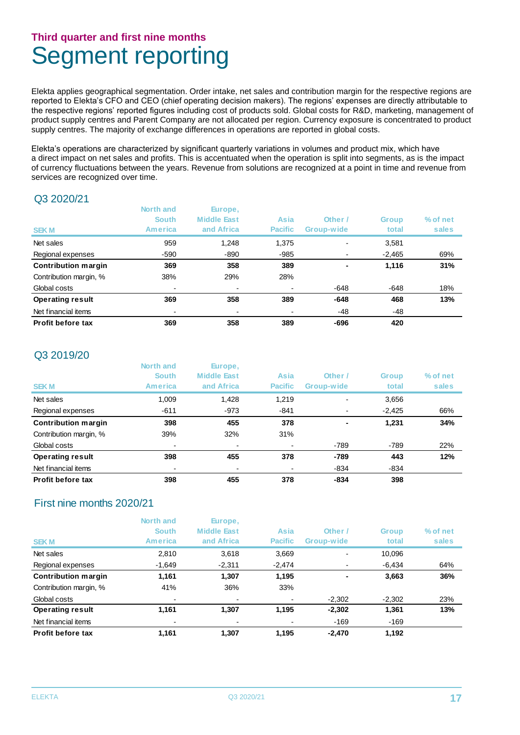### **Third quarter and first nine months** Segment reporting

Elekta applies geographical segmentation. Order intake, net sales and contribution margin for the respective regions are reported to Elekta's CFO and CEO (chief operating decision makers). The regions' expenses are directly attributable to the respective regions' reported figures including cost of products sold. Global costs for R&D, marketing, management of product supply centres and Parent Company are not allocated per region. Currency exposure is concentrated to product supply centres. The majority of exchange differences in operations are reported in global costs.

Elekta's operations are characterized by significant quarterly variations in volumes and product mix, which have a direct impact on net sales and profits. This is accentuated when the operation is split into segments, as is the impact of currency fluctuations between the years. Revenue from solutions are recognized at a point in time and revenue from services are recognized over time.

#### Q3 2020/21

| <b>SEKM</b>                | North and<br><b>South</b><br>America | Europe,<br><b>Middle East</b><br>and Africa | Asia<br><b>Pacific</b> | Other /<br>Group-wide    | <b>Group</b><br>total | % of net<br>sales |
|----------------------------|--------------------------------------|---------------------------------------------|------------------------|--------------------------|-----------------------|-------------------|
| Net sales                  | 959                                  | 1,248                                       | 1,375                  | $\overline{\phantom{0}}$ | 3,581                 |                   |
| Regional expenses          | $-590$                               | -890                                        | $-985$                 |                          | $-2,465$              | 69%               |
| <b>Contribution margin</b> | 369                                  | 358                                         | 389                    | ٠                        | 1,116                 | 31%               |
| Contribution margin, %     | 38%                                  | 29%                                         | 28%                    |                          |                       |                   |
| Global costs               | $\blacksquare$                       | $\overline{\phantom{0}}$                    |                        | $-648$                   | -648                  | 18%               |
| <b>Operating result</b>    | 369                                  | 358                                         | 389                    | $-648$                   | 468                   | 13%               |
| Net financial items        |                                      |                                             |                        | -48                      | -48                   |                   |
| Profit before tax          | 369                                  | 358                                         | 389                    | $-696$                   | 420                   |                   |

#### Q3 2019/20

| <b>SEKM</b>              | North and<br><b>South</b><br>America | Europe,<br><b>Middle East</b><br>and Africa | Asia<br><b>Pacific</b> | Other /<br>Group-wide    | <b>Group</b><br>total | % of net<br>sales |
|--------------------------|--------------------------------------|---------------------------------------------|------------------------|--------------------------|-----------------------|-------------------|
| Net sales                | 1,009                                | 1,428                                       | 1,219                  | $\overline{\phantom{0}}$ | 3,656                 |                   |
| Regional expenses        | $-611$                               | -973                                        | -841                   |                          | $-2,425$              | 66%               |
| Contribution margin      | 398                                  | 455                                         | 378                    | ٠                        | 1,231                 | 34%               |
| Contribution margin, %   | 39%                                  | 32%                                         | 31%                    |                          |                       |                   |
| Global costs             |                                      |                                             |                        | $-789$                   | $-789$                | 22%               |
| <b>Operating result</b>  | 398                                  | 455                                         | 378                    | $-789$                   | 443                   | 12%               |
| Net financial items      | $\overline{\phantom{0}}$             |                                             |                        | $-834$                   | $-834$                |                   |
| <b>Profit before tax</b> | 398                                  | 455                                         | 378                    | $-834$                   | 398                   |                   |

#### First nine months 2020/21

|                         | North and                | Europe,                  |                |                          |              |          |
|-------------------------|--------------------------|--------------------------|----------------|--------------------------|--------------|----------|
|                         | <b>South</b>             | <b>Middle East</b>       | Asia           | Other /                  | <b>Group</b> | % of net |
| <b>SEKM</b>             | <b>America</b>           | and Africa               | <b>Pacific</b> | Group-wide               | total        | sales    |
| Net sales               | 2,810                    | 3,618                    | 3,669          | $\overline{\phantom{0}}$ | 10,096       |          |
| Regional expenses       | $-1,649$                 | $-2,311$                 | $-2,474$       | $\blacksquare$           | $-6,434$     | 64%      |
| Contribution margin     | 1,161                    | 1.307                    | 1,195          | ٠                        | 3,663        | 36%      |
| Contribution margin, %  | 41%                      | 36%                      | 33%            |                          |              |          |
| Global costs            | $\blacksquare$           | $\overline{\phantom{0}}$ |                | $-2,302$                 | $-2,302$     | 23%      |
| <b>Operating result</b> | 1,161                    | 1,307                    | 1,195          | $-2,302$                 | 1,361        | 13%      |
| Net financial items     | $\overline{\phantom{a}}$ |                          |                | $-169$                   | $-169$       |          |
| Profit before tax       | 1.161                    | 1.307                    | 1,195          | $-2.470$                 | 1,192        |          |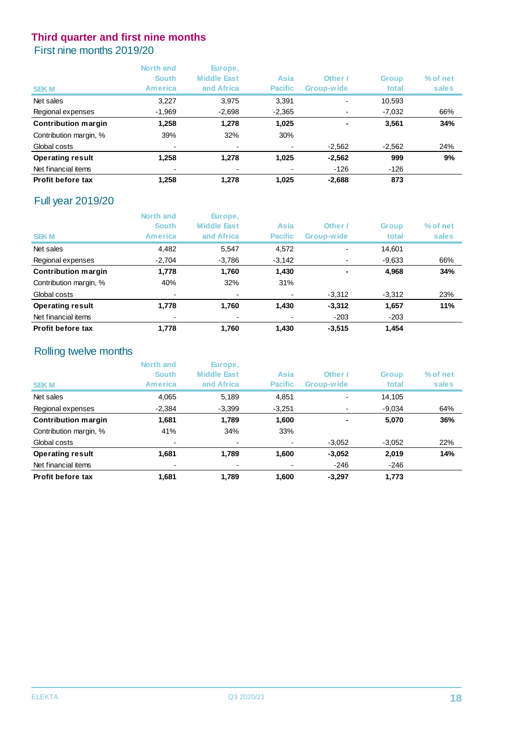#### First nine months 2019/20

|                            | North and<br><b>South</b><br><b>America</b> | Europe,<br><b>Middle East</b><br>and Africa | Asia<br><b>Pacific</b> | Other /<br>Group-wide    | <b>Group</b><br>total | % of net<br>sales |
|----------------------------|---------------------------------------------|---------------------------------------------|------------------------|--------------------------|-----------------------|-------------------|
| <b>SEKM</b>                |                                             |                                             |                        |                          |                       |                   |
| Net sales                  | 3,227                                       | 3,975                                       | 3.391                  | $\overline{\phantom{0}}$ | 10,593                |                   |
| Regional expenses          | $-1,969$                                    | $-2,698$                                    | $-2,365$               |                          | $-7,032$              | 66%               |
| <b>Contribution margin</b> | 1.258                                       | 1,278                                       | 1,025                  | ٠                        | 3.561                 | 34%               |
| Contribution margin, %     | 39%                                         | 32%                                         | 30%                    |                          |                       |                   |
| Global costs               | -                                           |                                             |                        | $-2,562$                 | $-2,562$              | 24%               |
| <b>Operating result</b>    | 1,258                                       | 1,278                                       | 1,025                  | $-2.562$                 | 999                   | 9%                |
| Net financial items        | $\overline{\phantom{0}}$                    |                                             |                        | $-126$                   | $-126$                |                   |
| Profit before tax          | 1.258                                       | 1,278                                       | 1.025                  | $-2,688$                 | 873                   |                   |

#### Full year 2019/20

|                            | North and<br><b>South</b> | Europe,<br><b>Middle East</b> | Asia           | Other /                  | <b>Group</b> | % of net |
|----------------------------|---------------------------|-------------------------------|----------------|--------------------------|--------------|----------|
| <b>SEKM</b>                | America                   | and Africa                    | <b>Pacific</b> | Group-wide               | total        | sales    |
| Net sales                  | 4,482                     | 5,547                         | 4,572          | $\overline{\phantom{0}}$ | 14,601       |          |
| Regional expenses          | $-2,704$                  | $-3,786$                      | $-3,142$       |                          | $-9,633$     | 66%      |
| <b>Contribution margin</b> | 1,778                     | 1,760                         | 1,430          | $\blacksquare$           | 4,968        | 34%      |
| Contribution margin, %     | 40%                       | 32%                           | 31%            |                          |              |          |
| Global costs               | $\overline{\phantom{0}}$  |                               |                | $-3,312$                 | $-3,312$     | 23%      |
| <b>Operating result</b>    | 1,778                     | 1,760                         | 1,430          | $-3,312$                 | 1,657        | 11%      |
| Net financial items        |                           |                               |                | $-203$                   | $-203$       |          |
| <b>Profit before tax</b>   | 1.778                     | 1.760                         | 1.430          | $-3.515$                 | 1.454        |          |

#### Rolling twelve months

|                            | North and<br><b>South</b> | Europe,<br><b>Middle East</b> | Asia           | Other /                  | <b>Group</b> | % of net |
|----------------------------|---------------------------|-------------------------------|----------------|--------------------------|--------------|----------|
| <b>SEKM</b>                | America                   | and Africa                    | <b>Pacific</b> | Group-wide               | total        | sales    |
| Net sales                  | 4,065                     | 5,189                         | 4,851          | $\overline{\phantom{0}}$ | 14,105       |          |
| Regional expenses          | $-2,384$                  | $-3,399$                      | $-3,251$       |                          | $-9,034$     | 64%      |
| <b>Contribution margin</b> | 1,681                     | 1,789                         | 1,600          | ٠                        | 5,070        | 36%      |
| Contribution margin, %     | 41%                       | 34%                           | 33%            |                          |              |          |
| Global costs               | ۰                         | $\overline{\phantom{0}}$      |                | $-3,052$                 | $-3,052$     | 22%      |
| <b>Operating result</b>    | 1,681                     | 1,789                         | 1,600          | $-3,052$                 | 2,019        | 14%      |
| Net financial items        |                           |                               |                | $-246$                   | $-246$       |          |
| Profit before tax          | 1.681                     | 1.789                         | 1.600          | $-3.297$                 | 1,773        |          |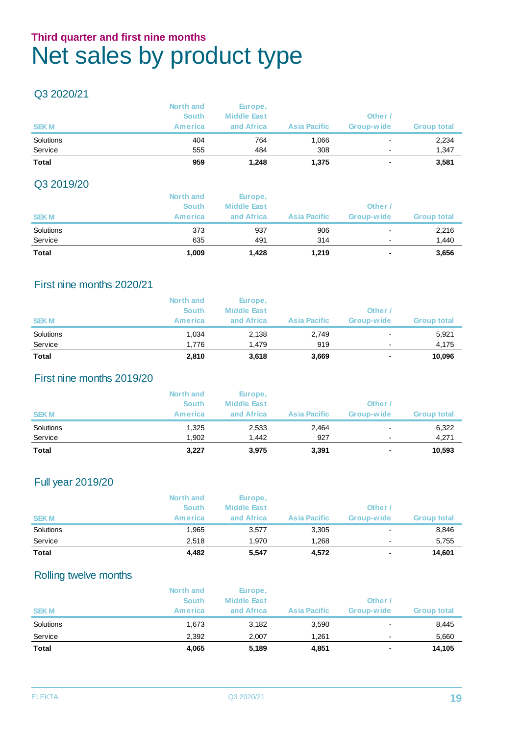### **Third quarter and first nine months** Net sales by product type

#### Q3 2020/21

| <b>SEKM</b>          | North and<br><b>South</b><br><b>America</b> | Europe,<br><b>Middle East</b><br>and Africa | <b>Asia Pacific</b> | Other<br>Group-wide           | <b>Group total</b> |
|----------------------|---------------------------------------------|---------------------------------------------|---------------------|-------------------------------|--------------------|
| Solutions<br>Service | 404<br>555                                  | 764<br>484                                  | 1,066<br>308        | $\overline{\phantom{a}}$<br>- | 2,234<br>1,347     |
| <b>Total</b>         | 959                                         | 1,248                                       | 1,375               | ۰                             | 3,581              |

#### Q3 2019/20

| <b>Total</b> | 1,009        | 1,428              | 1,219               | ٠                        | 3,656              |
|--------------|--------------|--------------------|---------------------|--------------------------|--------------------|
| Service      | 635          | 491                | 314                 |                          | 1,440              |
| Solutions    | 373          | 937                | 906                 | $\overline{\phantom{a}}$ | 2,216              |
| <b>SEKM</b>  | America      | and Africa         | <b>Asia Pacific</b> | Group-wide               | <b>Group total</b> |
|              | <b>South</b> | <b>Middle East</b> |                     | Other                    |                    |
|              | North and    | Europe,            |                     |                          |                    |

#### First nine months 2020/21

| <b>SEKM</b>          | North and<br><b>South</b><br><b>America</b> | Europe,<br><b>Middle East</b><br>and Africa | <b>Asia Pacific</b> | Other<br>Group-wide | <b>Group total</b> |
|----------------------|---------------------------------------------|---------------------------------------------|---------------------|---------------------|--------------------|
| Solutions<br>Service | 1.034<br>1.776                              | 2,138<br>1.479                              | 2,749<br>919        | -<br>-              | 5,921<br>4,175     |
| <b>Total</b>         | 2,810                                       | 3,618                                       | 3,669               | ٠                   | 10.096             |

#### First nine months 2019/20

|              | North and    | Europe,            |                     |                          |                    |
|--------------|--------------|--------------------|---------------------|--------------------------|--------------------|
|              | <b>South</b> | <b>Middle East</b> |                     | Other                    |                    |
| <b>SEKM</b>  | America      | and Africa         | <b>Asia Pacific</b> | Group-wide               | <b>Group total</b> |
| Solutions    | 1,325        | 2,533              | 2,464               | ۰                        | 6,322              |
| Service      | 1.902        | 1.442              | 927                 | $\overline{\phantom{0}}$ | 4,271              |
| <b>Total</b> | 3,227        | 3,975              | 3,391               | ۰                        | 10,593             |

#### Full year 2019/20

| <b>Total</b> | 4.482          | 5,547              | 4,572               | ٠          | 14,601             |
|--------------|----------------|--------------------|---------------------|------------|--------------------|
| Service      | 2.518          | 1.970              | 1.268               |            | 5,755              |
| Solutions    | 1.965          | 3,577              | 3,305               |            | 8,846              |
| <b>SEKM</b>  | <b>America</b> | and Africa         | <b>Asia Pacific</b> | Group-wide | <b>Group total</b> |
|              | <b>South</b>   | <b>Middle East</b> |                     | Other /    |                    |
|              | North and      | Europe,            |                     |            |                    |

#### Rolling twelve months

|             | North and      | Europe,            |                     |                          |                    |
|-------------|----------------|--------------------|---------------------|--------------------------|--------------------|
|             | <b>South</b>   | <b>Middle East</b> |                     | Other                    |                    |
| <b>SEKM</b> | <b>America</b> | and Africa         | <b>Asia Pacific</b> | Group-wide               | <b>Group total</b> |
| Solutions   | 1,673          | 3,182              | 3,590               | -                        | 8,445              |
| Service     | 2.392          | 2,007              | 1.261               | $\overline{\phantom{a}}$ | 5,660              |
| Total       | 4,065          | 5,189              | 4,851               | ۰                        | 14,105             |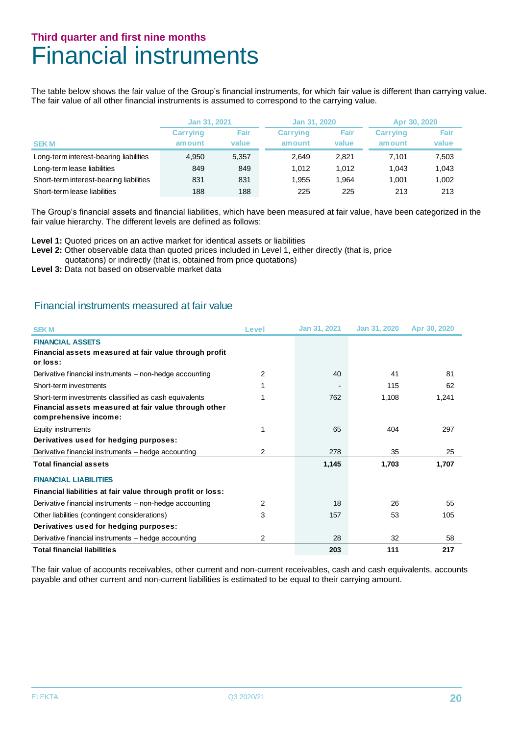### **Third quarter and first nine months** Financial instruments

The table below shows the fair value of the Group's financial instruments, for which fair value is different than carrying value. The fair value of all other financial instruments is assumed to correspond to the carrying value.

|                                         | Jan 31, 2021                     |       | Jan 31, 2020    |       | Apr 30, 2020    |       |  |
|-----------------------------------------|----------------------------------|-------|-----------------|-------|-----------------|-------|--|
|                                         | Fair<br><b>Carrying</b><br>value |       | <b>Carrying</b> | Fair  | <b>Carrying</b> | Fair  |  |
| <b>SEKM</b>                             | amount                           |       | amount          | value | amount          | value |  |
| Long-term interest-bearing liabilities  | 4.950                            | 5,357 | 2.649           | 2.821 | 7.101           | 7,503 |  |
| Long-term lease liabilities             | 849                              | 849   | 1.012           | 1.012 | 1.043           | 1.043 |  |
| Short-term interest-bearing liabilities | 831                              | 831   | 1.955           | 1.964 | 1.001           | 1.002 |  |
| Short-term lease liabilities            | 188                              | 188   | 225             | 225   | 213             | 213   |  |

The Group's financial assets and financial liabilities, which have been measured at fair value, have been categorized in the fair value hierarchy. The different levels are defined as follows:

**Level 1:** Quoted prices on an active market for identical assets or liabilities

Level 2: Other observable data than quoted prices included in Level 1, either directly (that is, price

quotations) or indirectly (that is, obtained from price quotations)

**Level 3:** Data not based on observable market data

#### Financial instruments measured at fair value

| <b>SEKM</b>                                                                                                                             | Level | Jan 31, 2021 | Jan 31, 2020 | Apr 30, 2020 |
|-----------------------------------------------------------------------------------------------------------------------------------------|-------|--------------|--------------|--------------|
| <b>FINANCIAL ASSETS</b>                                                                                                                 |       |              |              |              |
| Financial assets measured at fair value through profit<br>or loss:                                                                      |       |              |              |              |
| Derivative financial instruments – non-hedge accounting                                                                                 | 2     | 40           | 41           | 81           |
| Short-term investments                                                                                                                  |       |              | 115          | 62           |
| Short-term investments classified as cash equivalents<br>Financial assets measured at fair value through other<br>comprehensive income: |       | 762          | 1,108        | 1,241        |
| Equity instruments                                                                                                                      |       | 65           | 404          | 297          |
| Derivatives used for hedging purposes:                                                                                                  |       |              |              |              |
| Derivative financial instruments – hedge accounting                                                                                     | 2     | 278          | 35           | 25           |
| <b>Total financial assets</b>                                                                                                           |       | 1,145        | 1,703        | 1,707        |
| <b>FINANCIAL LIABILITIES</b>                                                                                                            |       |              |              |              |
| Financial liabilities at fair value through profit or loss:                                                                             |       |              |              |              |
| Derivative financial instruments - non-hedge accounting                                                                                 | 2     | 18           | 26           | 55           |
| Other liabilities (contingent considerations)                                                                                           | 3     | 157          | 53           | 105          |
| Derivatives used for hedging purposes:                                                                                                  |       |              |              |              |
| Derivative financial instruments - hedge accounting                                                                                     | 2     | 28           | 32           | 58           |
| <b>Total financial liabilities</b>                                                                                                      |       | 203          | 111          | 217          |

The fair value of accounts receivables, other current and non-current receivables, cash and cash equivalents, accounts payable and other current and non-current liabilities is estimated to be equal to their carrying amount.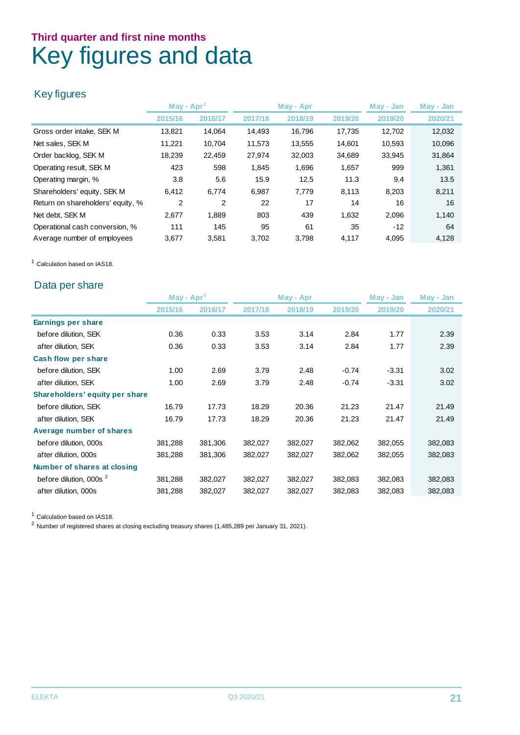### **Third quarter and first nine months** Key figures and data

#### Key figures

|                                   | May - $Apr1$ |         | May - Apr |         |         | May - Jan | May - Jan |
|-----------------------------------|--------------|---------|-----------|---------|---------|-----------|-----------|
|                                   | 2015/16      | 2016/17 | 2017/18   | 2018/19 | 2019/20 | 2019/20   | 2020/21   |
| Gross order intake, SEK M         | 13,821       | 14.064  | 14,493    | 16,796  | 17,735  | 12.702    | 12,032    |
| Net sales, SEK M                  | 11,221       | 10,704  | 11,573    | 13,555  | 14,601  | 10,593    | 10,096    |
| Order backlog, SEK M              | 18,239       | 22.459  | 27,974    | 32,003  | 34,689  | 33,945    | 31,864    |
| Operating result, SEK M           | 423          | 598     | 1,845     | 1,696   | 1,657   | 999       | 1,361     |
| Operating margin, %               | 3.8          | 5.6     | 15.9      | 12.5    | 11.3    | 9.4       | 13.5      |
| Shareholders' equity, SEK M       | 6.412        | 6,774   | 6,987     | 7,779   | 8,113   | 8,203     | 8,211     |
| Return on shareholders' equity, % | 2            | 2       | 22        | 17      | 14      | 16        | 16        |
| Net debt, SEK M                   | 2,677        | 1,889   | 803       | 439     | 1,632   | 2,096     | 1,140     |
| Operational cash conversion, %    | 111          | 145     | 95        | 61      | 35      | $-12$     | 64        |
| Average number of employees       | 3,677        | 3,581   | 3,702     | 3,798   | 4,117   | 4,095     | 4,128     |

<sup>1</sup> Calculation based on IAS18.

#### Data per share

|                                    | May - Apr |         |         | May - Apr |         | May - Jan | May - Jan |  |
|------------------------------------|-----------|---------|---------|-----------|---------|-----------|-----------|--|
|                                    | 2015/16   | 2016/17 | 2017/18 | 2018/19   | 2019/20 | 2019/20   | 2020/21   |  |
| Earnings per share                 |           |         |         |           |         |           |           |  |
| before dilution, SEK               | 0.36      | 0.33    | 3.53    | 3.14      | 2.84    | 1.77      | 2.39      |  |
| after dilution, SEK                | 0.36      | 0.33    | 3.53    | 3.14      | 2.84    | 1.77      | 2.39      |  |
| <b>Cash flow per share</b>         |           |         |         |           |         |           |           |  |
| before dilution, SEK               | 1.00      | 2.69    | 3.79    | 2.48      | $-0.74$ | $-3.31$   | 3.02      |  |
| after dilution, SEK                | 1.00      | 2.69    | 3.79    | 2.48      | $-0.74$ | $-3.31$   | 3.02      |  |
| Shareholders' equity per share     |           |         |         |           |         |           |           |  |
| before dilution, SEK               | 16.79     | 17.73   | 18.29   | 20.36     | 21.23   | 21.47     | 21.49     |  |
| after dilution, SEK                | 16.79     | 17.73   | 18.29   | 20.36     | 21.23   | 21.47     | 21.49     |  |
| Average number of shares           |           |         |         |           |         |           |           |  |
| before dilution, 000s              | 381,288   | 381,306 | 382,027 | 382,027   | 382,062 | 382,055   | 382,083   |  |
| after dilution, 000s               | 381,288   | 381,306 | 382,027 | 382,027   | 382,062 | 382,055   | 382,083   |  |
| Number of shares at closing        |           |         |         |           |         |           |           |  |
| before dilution, 000s <sup>2</sup> | 381,288   | 382,027 | 382,027 | 382,027   | 382,083 | 382,083   | 382,083   |  |
| after dilution, 000s               | 381,288   | 382,027 | 382,027 | 382,027   | 382,083 | 382,083   | 382,083   |  |

<sup>1</sup> Calculation based on IAS18.

 $2$  Number of registered shares at closing excluding treasury shares (1,485,289 per January 31, 2021).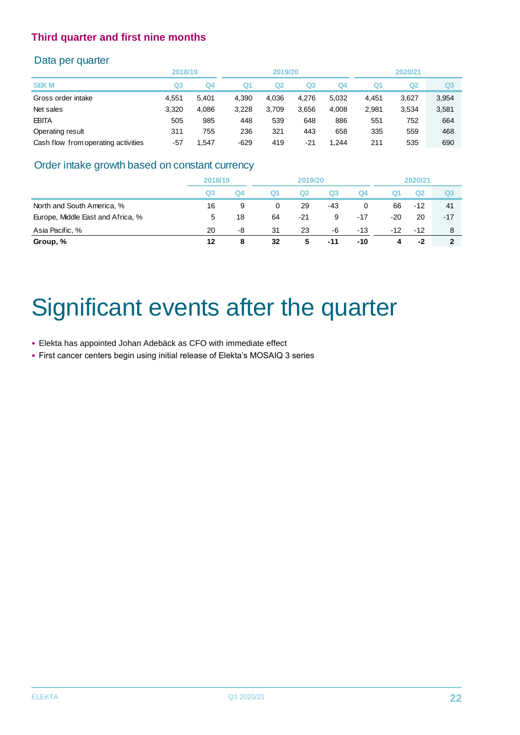#### Data per quarter

|                                     | 2018/19 |       |        | 2019/20 |       |       | 2020/21 |       |                |
|-------------------------------------|---------|-------|--------|---------|-------|-------|---------|-------|----------------|
| <b>SEKM</b>                         | Q3      | Q4    | Q1     | Q2      | Q3    | Q4    | Q1      | Q2    | Q <sub>3</sub> |
| Gross order intake                  | 4.551   | 5.401 | 4.390  | 4.036   | 4.276 | 5,032 | 4.451   | 3,627 | 3,954          |
| Net sales                           | 3.320   | 4,086 | 3.228  | 3,709   | 3,656 | 4,008 | 2,981   | 3.534 | 3,581          |
| <b>EBITA</b>                        | 505     | 985   | 448    | 539     | 648   | 886   | 551     | 752   | 664            |
| Operating result                    | 311     | 755   | 236    | 321     | 443   | 658   | 335     | 559   | 468            |
| Cash flow from operating activities | $-57$   | 1.547 | $-629$ | 419     | $-21$ | 1.244 | 211     | 535   | 690            |

#### Order intake growth based on constant currency

|                                   | 2018/19 |    | 2019/20 |     |                |       | 2020/21 |       |                |
|-----------------------------------|---------|----|---------|-----|----------------|-------|---------|-------|----------------|
|                                   | Q3      | Q4 | Q1      | Q2  | Q <sub>3</sub> | Q4    | Q1      | Q2    | Q <sub>3</sub> |
| North and South America, %        | 16      | 9  | 0       | 29  | -43            | 0     | 66      | $-12$ | 41             |
| Europe, Middle East and Africa, % | 5       | 18 | 64      | -21 | 9              | $-17$ | -20     | 20    | $-17$          |
| Asia Pacific, %                   | 20      | -8 | 31      | 23  | -6             | $-13$ | $-12$   | $-12$ | 8              |
| Group, %                          | 12      | 8  | 32      | 5   | $-11$          | -10   | 4       | $-2$  | $\mathbf{2}$   |
|                                   |         |    |         |     |                |       |         |       |                |

## Significant events after the quarter

- Elekta has appointed Johan Adebäck as CFO with immediate effect
- First cancer centers begin using initial release of Elekta's MOSAIQ 3 series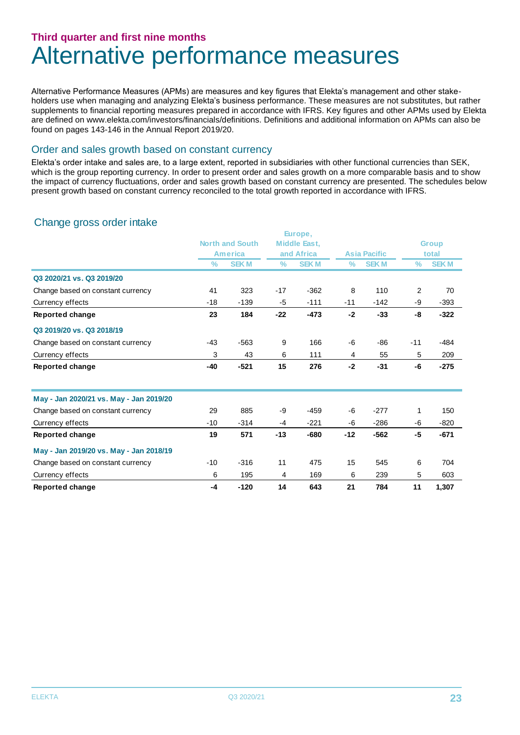### **Third quarter and first nine months** Alternative performance measures

Alternative Performance Measures (APMs) are measures and key figures that Elekta's management and other stakeholders use when managing and analyzing Elekta's business performance. These measures are not substitutes, but rather supplements to financial reporting measures prepared in accordance with IFRS. Key figures and other APMs used by Elekta are defined on www.elekta.com/investors/financials/definitions. Definitions and additional information on APMs can also be found on pages 143-146 in the Annual Report 2019/20.

#### Order and sales growth based on constant currency

Elekta's order intake and sales are, to a large extent, reported in subsidiaries with other functional currencies than SEK, which is the group reporting currency. In order to present order and sales growth on a more comparable basis and to show the impact of currency fluctuations, order and sales growth based on constant currency are presented. The schedules below present growth based on constant currency reconciled to the total growth reported in accordance with IFRS.

#### Change gross order intake

|                                         |               |                        |               | Europe,             |               |                     |       |              |
|-----------------------------------------|---------------|------------------------|---------------|---------------------|---------------|---------------------|-------|--------------|
|                                         |               | <b>North and South</b> |               | <b>Middle East,</b> |               |                     |       | <b>Group</b> |
|                                         |               | <b>America</b>         |               | and Africa          |               | <b>Asia Pacific</b> |       | total        |
|                                         | $\frac{9}{6}$ | <b>SEKM</b>            | $\frac{9}{6}$ | <b>SEKM</b>         | $\frac{9}{6}$ | <b>SEKM</b>         | $\%$  | <b>SEKM</b>  |
| Q3 2020/21 vs. Q3 2019/20               |               |                        |               |                     |               |                     |       |              |
| Change based on constant currency       | 41            | 323                    | $-17$         | $-362$              | 8             | 110                 | 2     | 70           |
| Currency effects                        | $-18$         | $-139$                 | -5            | $-111$              | $-11$         | $-142$              | -9    | $-393$       |
| Reported change                         | 23            | 184                    | $-22$         | $-473$              | $-2$          | $-33$               | -8    | $-322$       |
| Q3 2019/20 vs. Q3 2018/19               |               |                        |               |                     |               |                     |       |              |
| Change based on constant currency       | $-43$         | $-563$                 | 9             | 166                 | -6            | -86                 | $-11$ | $-484$       |
| Currency effects                        | 3             | 43                     | 6             | 111                 | 4             | 55                  | 5     | 209          |
| <b>Reported change</b>                  | $-40$         | $-521$                 | 15            | 276                 | $-2$          | $-31$               | -6    | $-275$       |
| May - Jan 2020/21 vs. May - Jan 2019/20 |               |                        |               |                     |               |                     |       |              |
| Change based on constant currency       | 29            | 885                    | -9            | $-459$              | -6            | $-277$              | 1     | 150          |
| Currency effects                        | $-10$         | $-314$                 | $-4$          | $-221$              | -6            | $-286$              | -6    | $-820$       |
| Reported change                         | 19            | 571                    | $-13$         | $-680$              | $-12$         | $-562$              | -5    | $-671$       |
| May - Jan 2019/20 vs. May - Jan 2018/19 |               |                        |               |                     |               |                     |       |              |
| Change based on constant currency       | $-10$         | $-316$                 | 11            | 475                 | 15            | 545                 | 6     | 704          |
| Currency effects                        | 6             | 195                    | 4             | 169                 | 6             | 239                 | 5     | 603          |
| <b>Reported change</b>                  | $-4$          | $-120$                 | 14            | 643                 | 21            | 784                 | 11    | 1,307        |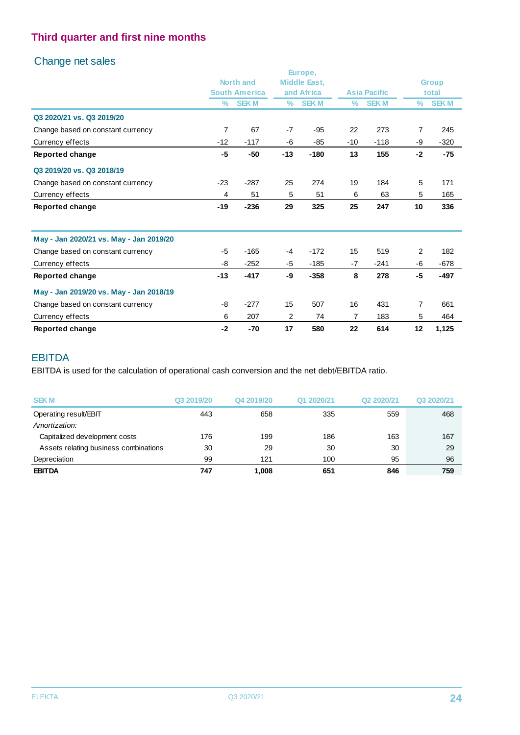#### Change net sales

|                                         |       |                      |       | Europe,             |       |                     |                |              |
|-----------------------------------------|-------|----------------------|-------|---------------------|-------|---------------------|----------------|--------------|
|                                         |       | <b>North and</b>     |       | <b>Middle East,</b> |       |                     |                | <b>Group</b> |
|                                         |       | <b>South America</b> |       | and Africa          |       | <b>Asia Pacific</b> |                | total        |
|                                         | $\%$  | <b>SEKM</b>          | $\%$  | <b>SEKM</b>         | $\%$  | <b>SEKM</b>         | $\%$           | <b>SEKM</b>  |
| Q3 2020/21 vs. Q3 2019/20               |       |                      |       |                     |       |                     |                |              |
| Change based on constant currency       | 7     | 67                   | $-7$  | $-95$               | 22    | 273                 | $\overline{7}$ | 245          |
| Currency effects                        | $-12$ | $-117$               | -6    | $-85$               | $-10$ | $-118$              | -9             | $-320$       |
| Reported change                         | -5    | $-50$                | $-13$ | $-180$              | 13    | 155                 | $-2$           | $-75$        |
| Q3 2019/20 vs. Q3 2018/19               |       |                      |       |                     |       |                     |                |              |
| Change based on constant currency       | $-23$ | $-287$               | 25    | 274                 | 19    | 184                 | 5              | 171          |
| Currency effects                        | 4     | 51                   | 5     | 51                  | 6     | 63                  | 5              | 165          |
| Reported change                         | $-19$ | $-236$               | 29    | 325                 | 25    | 247                 | 10             | 336          |
| May - Jan 2020/21 vs. May - Jan 2019/20 |       |                      |       |                     |       |                     |                |              |
| Change based on constant currency       | -5    | $-165$               | $-4$  | $-172$              | 15    | 519                 | $\overline{2}$ | 182          |
| Currency effects                        | -8    | $-252$               | -5    | $-185$              | $-7$  | $-241$              | -6             | $-678$       |
| Reported change                         | $-13$ | $-417$               | -9    | $-358$              | 8     | 278                 | $-5$           | -497         |
| May - Jan 2019/20 vs. May - Jan 2018/19 |       |                      |       |                     |       |                     |                |              |
| Change based on constant currency       | -8    | $-277$               | 15    | 507                 | 16    | 431                 | 7              | 661          |
| Currency effects                        | 6     | 207                  | 2     | 74                  | 7     | 183                 | 5              | 464          |
| Reported change                         | $-2$  | $-70$                | 17    | 580                 | 22    | 614                 | 12             | 1,125        |

#### EBITDA

EBITDA is used for the calculation of operational cash conversion and the net debt/EBITDA ratio.

| <b>SEKM</b>                           | Q3 2019/20 | Q4 2019/20 | Q1 2020/21 | Q2 2020/21 | Q3 2020/21 |
|---------------------------------------|------------|------------|------------|------------|------------|
| Operating result/EBIT                 | 443        | 658        | 335        | 559        | 468        |
| Amortization:                         |            |            |            |            |            |
| Capitalized development costs         | 176        | 199        | 186        | 163        | 167        |
| Assets relating business combinations | 30         | 29         | 30         | 30         | 29         |
| Depreciation                          | 99         | 121        | 100        | 95         | 96         |
| <b>EBITDA</b>                         | 747        | 1.008      | 651        | 846        | 759        |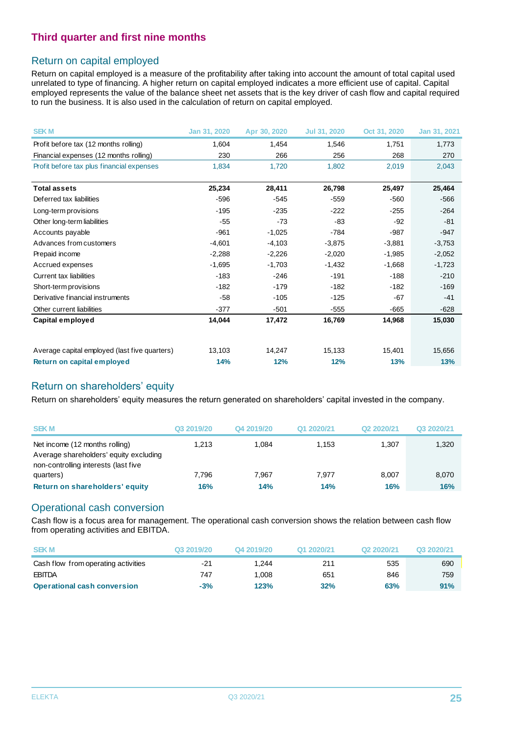#### Return on capital employed

Return on capital employed is a measure of the profitability after taking into account the amount of total capital used unrelated to type of financing. A higher return on capital employed indicates a more efficient use of capital. Capital employed represents the value of the balance sheet net assets that is the key driver of cash flow and capital required to run the business. It is also used in the calculation of return on capital employed.

| <b>SEKM</b>                                   | Jan 31, 2020 | Apr 30, 2020 | Jul 31, 2020 | Oct 31, 2020 | Jan 31, 2021 |
|-----------------------------------------------|--------------|--------------|--------------|--------------|--------------|
| Profit before tax (12 months rolling)         | 1,604        | 1,454        | 1,546        | 1,751        | 1,773        |
| Financial expenses (12 months rolling)        | 230          | 266          | 256          | 268          | 270          |
| Profit before tax plus financial expenses     | 1,834        | 1,720        | 1,802        | 2,019        | 2,043        |
| <b>Total assets</b>                           | 25,234       | 28,411       | 26,798       | 25,497       | 25,464       |
| Deferred tax liabilities                      | $-596$       | $-545$       | $-559$       | $-560$       | $-566$       |
| Long-term provisions                          | $-195$       | $-235$       | $-222$       | $-255$       | $-264$       |
| Other long-term liabilities                   | $-55$        | $-73$        | $-83$        | $-92$        | $-81$        |
| Accounts payable                              | $-961$       | $-1,025$     | $-784$       | $-987$       | $-947$       |
| Advances from customers                       | $-4,601$     | $-4,103$     | $-3,875$     | $-3,881$     | $-3,753$     |
| Prepaid income                                | $-2,288$     | $-2,226$     | $-2,020$     | $-1,985$     | $-2,052$     |
| Accrued expenses                              | $-1,695$     | $-1,703$     | $-1,432$     | $-1,668$     | $-1,723$     |
| Current tax liabilities                       | $-183$       | $-246$       | $-191$       | $-188$       | $-210$       |
| Short-term provisions                         | -182         | $-179$       | $-182$       | $-182$       | $-169$       |
| Derivative financial instruments              | $-58$        | $-105$       | $-125$       | $-67$        | $-41$        |
| Other current liabilities                     | $-377$       | $-501$       | $-555$       | $-665$       | $-628$       |
| Capital employed                              | 14,044       | 17,472       | 16,769       | 14,968       | 15,030       |
|                                               |              |              |              |              |              |
| Average capital employed (last five quarters) | 13,103       | 14,247       | 15,133       | 15,401       | 15,656       |
| Return on capital employed                    | 14%          | 12%          | 12%          | 13%          | 13%          |

#### Return on shareholders' equity

Return on shareholders' equity measures the return generated on shareholders' capital invested in the company.

| <b>SEKM</b>                                                                                                      | Q3 2019/20 | Q4 2019/20 | Q1 2020/21 | Q2 2020/21 | Q3 2020/21 |
|------------------------------------------------------------------------------------------------------------------|------------|------------|------------|------------|------------|
| Net income (12 months rolling)<br>Average shareholders' equity excluding<br>non-controlling interests (last five | 1.213      | 1.084      | 1.153      | 1.307      | 1,320      |
| quarters)                                                                                                        | 7.796      | 7.967      | 7.977      | 8.007      | 8,070      |
| Return on shareholders' equity                                                                                   | 16%        | 14%        | 14%        | 16%        | 16%        |

#### Operational cash conversion

Cash flow is a focus area for management. The operational cash conversion shows the relation between cash flow from operating activities and EBITDA.

| from operating activities and EBITDA. |            |            |            |            |            |  |
|---------------------------------------|------------|------------|------------|------------|------------|--|
| <b>SEKM</b>                           | Q3 2019/20 | Q4 2019/20 | Q1 2020/21 | Q2 2020/21 | Q3 2020/21 |  |
| Cash flow from operating activities   | $-21$      | 1.244      | 211        | 535        | 690        |  |
| <b>EBITDA</b>                         | 747        | 1.008      | 651        | 846        | 759        |  |
| <b>Operational cash conversion</b>    | $-3%$      | 123%       | 32%        | 63%        | 91%        |  |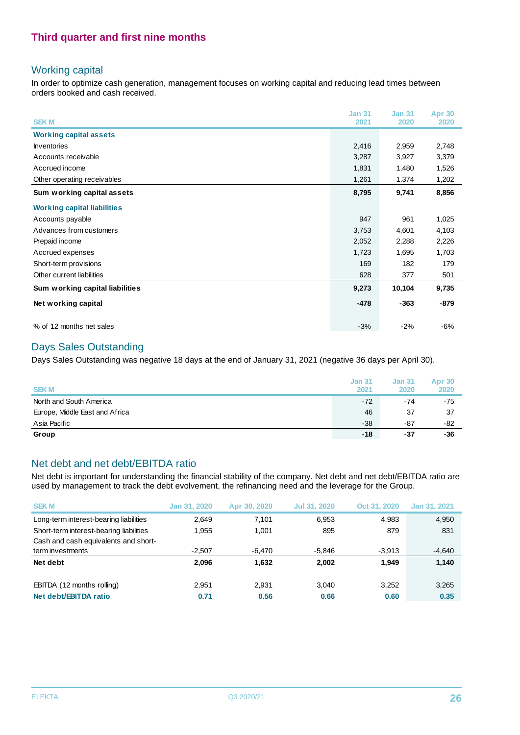#### Working capital

In order to optimize cash generation, management focuses on working capital and reducing lead times between orders booked and cash received.

|                                    | <b>Jan 31</b> | <b>Jan 31</b> | <b>Apr 30</b> |
|------------------------------------|---------------|---------------|---------------|
| <b>SEKM</b>                        | 2021          | 2020          | 2020          |
| <b>Working capital assets</b>      |               |               |               |
| <b>Inventories</b>                 | 2,416         | 2,959         | 2,748         |
| Accounts receivable                | 3,287         | 3,927         | 3,379         |
| Accrued income                     | 1,831         | 1,480         | 1,526         |
| Other operating receivables        | 1,261         | 1,374         | 1,202         |
| Sum working capital assets         | 8,795         | 9,741         | 8,856         |
| <b>Working capital liabilities</b> |               |               |               |
| Accounts payable                   | 947           | 961           | 1,025         |
| Advances from customers            | 3,753         | 4,601         | 4,103         |
| Prepaid income                     | 2,052         | 2,288         | 2,226         |
| Accrued expenses                   | 1,723         | 1,695         | 1,703         |
| Short-term provisions              | 169           | 182           | 179           |
| Other current liabilities          | 628           | 377           | 501           |
| Sum working capital liabilities    | 9,273         | 10,104        | 9,735         |
| Net working capital                | $-478$        | $-363$        | $-879$        |
| % of 12 months net sales           | $-3%$         | $-2%$         | $-6%$         |

#### Days Sales Outstanding

Days Sales Outstanding was negative 18 days at the end of January 31, 2021 (negative 36 days per April 30).

| <b>SEKM</b>                    | <b>Jan 31</b><br>2021 | <b>Jan 31</b><br>2020 | <b>Apr 30</b><br>2020 |
|--------------------------------|-----------------------|-----------------------|-----------------------|
| North and South America        | $-72$                 | $-74$                 | $-75$                 |
| Europe, Middle East and Africa | 46                    | 37                    | 37                    |
| Asia Pacific                   | $-38$                 | -87                   | -82                   |
| Group                          | -18                   | $-37$                 | $-36$                 |

#### Net debt and net debt/EBITDA ratio

Net debt is important for understanding the financial stability of the company. Net debt and net debt/EBITDA ratio are used by management to track the debt evolvement, the refinancing need and the leverage for the Group.

| <b>SEKM</b>                             | Jan 31, 2020 | Apr 30, 2020 | <b>Jul 31, 2020</b> | Oct 31, 2020 | Jan 31, 2021 |
|-----------------------------------------|--------------|--------------|---------------------|--------------|--------------|
| Long-term interest-bearing liabilities  | 2.649        | 7.101        | 6.953               | 4.983        | 4,950        |
| Short-term interest-bearing liabilities | 1,955        | 1.001        | 895                 | 879          | 831          |
| Cash and cash equivalents and short-    |              |              |                     |              |              |
| term investments                        | $-2.507$     | $-6.470$     | $-5.846$            | $-3.913$     | $-4,640$     |
| Net debt                                | 2.096        | 1.632        | 2.002               | 1.949        | 1,140        |
| EBITDA (12 months rolling)              | 2.951        | 2.931        | 3.040               | 3.252        | 3,265        |
| Net debt/EBITDA ratio                   | 0.71         | 0.56         | 0.66                | 0.60         | 0.35         |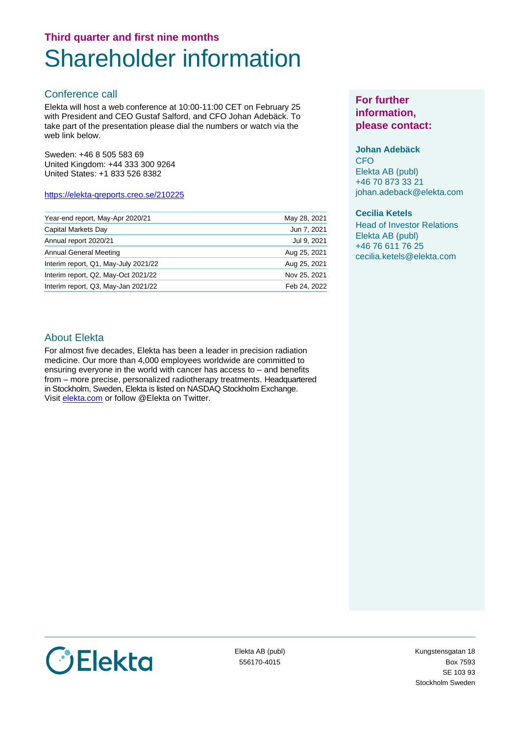### **Third quarter and first nine months** Shareholder information

#### Conference call

Elekta will host a web conference at 10:00-11:00 CET on February 25 with President and CEO Gustaf Salford, and CFO Johan Adebäck. To take part of the presentation please dial the numbers or watch via the web link below.

Sweden: +46 8 505 583 69 United Kingdom: +44 333 300 9264 United States: +1 833 526 8382

#### [https://elekta-qreports.creo.se/210225](https://protect-eu.mimecast.com/s/O_b6CO8PXclp8QjuEuwJH?domain=elekta-qreports.creo.se)

| Year-end report, May-Apr 2020/21     | May 28, 2021 |
|--------------------------------------|--------------|
| Capital Markets Day                  | Jun 7, 2021  |
| Annual report 2020/21                | Jul 9, 2021  |
| <b>Annual General Meeting</b>        | Aug 25, 2021 |
| Interim report, Q1, May-July 2021/22 | Aug 25, 2021 |
| Interim report, Q2, May-Oct 2021/22  | Nov 25, 2021 |
| Interim report, Q3, May-Jan 2021/22  | Feb 24, 2022 |

#### **For further information, please contact:**

#### **Johan Adebäck**

**CFO** Elekta AB (publ) +46 70 873 33 21 johan.adeback@elekta.com

#### **Cecilia Ketels**

Head of Investor Relations Elekta AB (publ) +46 76 611 76 25 cecilia.ketels@elekta.com

#### About Elekta

For almost five decades, Elekta has been a leader in precision radiation medicine. Our more than 4,000 employees worldwide are committed to ensuring everyone in the world with cancer has access to – and benefits from – more precise, personalized radiotherapy treatments. Headquartered in Stockholm, Sweden, Elekta is listed on NASDAQ Stockholm Exchange. Visit [elekta.com](http://www.elekta.com/) or follow @Elekta on Twitter.



Elekta AB (publ) 556170-4015

Kungstensgatan 18 Box 7593 SE 103 93 Stockholm Sweden